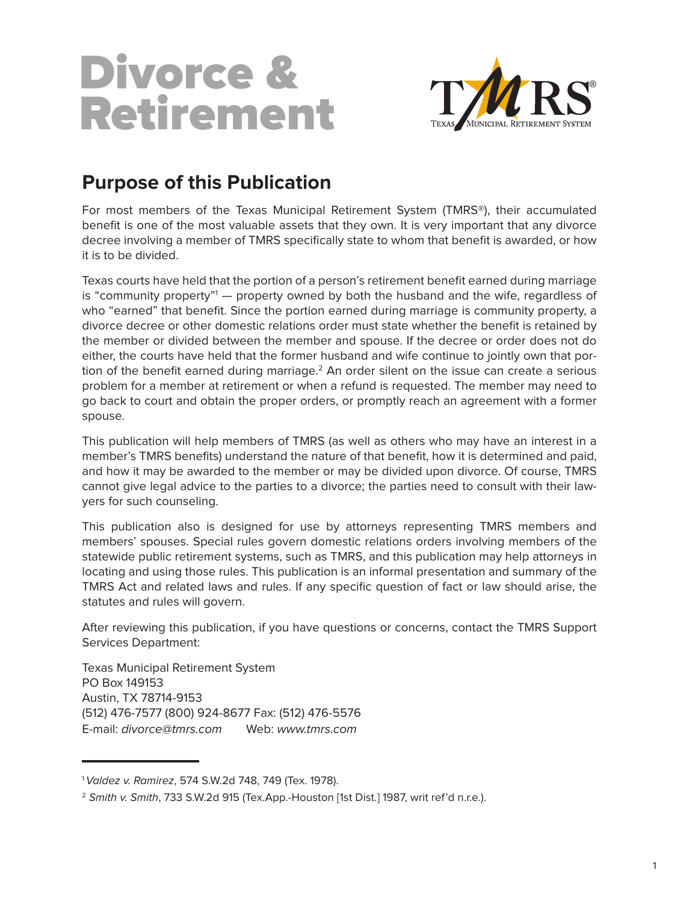## Divorce & Retirement



## **Purpose of this Publication**

For most members of the Texas Municipal Retirement System (TMRS®), their accumulated benefit is one of the most valuable assets that they own. It is very important that any divorce decree involving a member of TMRS specifically state to whom that benefit is awarded, or how it is to be divided.

Texas courts have held that the portion of a person's retirement benefit earned during marriage is "community property"<sup>1</sup> — property owned by both the husband and the wife, regardless of who "earned" that benefit. Since the portion earned during marriage is community property, a divorce decree or other domestic relations order must state whether the benefit is retained by the member or divided between the member and spouse. If the decree or order does not do either, the courts have held that the former husband and wife continue to jointly own that portion of the benefit earned during marriage.<sup>2</sup> An order silent on the issue can create a serious problem for a member at retirement or when a refund is requested. The member may need to go back to court and obtain the proper orders, or promptly reach an agreement with a former spouse.

This publication will help members of TMRS (as well as others who may have an interest in a member's TMRS benefits) understand the nature of that benefit, how it is determined and paid, and how it may be awarded to the member or may be divided upon divorce. Of course, TMRS cannot give legal advice to the parties to a divorce; the parties need to consult with their lawyers for such counseling.

This publication also is designed for use by attorneys representing TMRS members and members' spouses. Special rules govern domestic relations orders involving members of the statewide public retirement systems, such as TMRS, and this publication may help attorneys in locating and using those rules. This publication is an informal presentation and summary of the TMRS Act and related laws and rules. If any specific question of fact or law should arise, the statutes and rules will govern.

After reviewing this publication, if you have questions or concerns, contact the TMRS Support Services Department:

Texas Municipal Retirement System PO Box 149153 Austin, TX 78714-9153 (512) 476-7577 (800) 924-8677 Fax: (512) 476-5576 E-mail: divorce@tmrs.com Web: www.tmrs.com

l

<sup>&</sup>lt;sup>1</sup> Valdez v. Ramirez, 574 S.W.2d 748, 749 (Tex. 1978).

<sup>&</sup>lt;sup>2</sup> Smith v. Smith, 733 S.W.2d 915 (Tex.App.-Houston [1st Dist.] 1987, writ ref'd n.r.e.).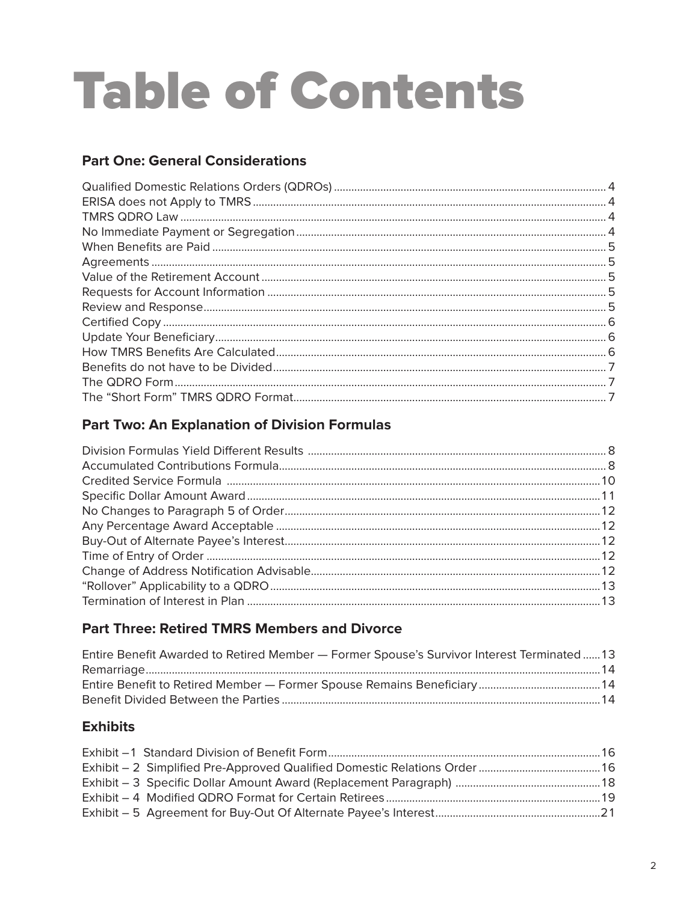# **Table of Contents**

## **Part One: General Considerations**

## **Part Two: An Explanation of Division Formulas**

## **Part Three: Retired TMRS Members and Divorce**

| Entire Benefit Awarded to Retired Member - Former Spouse's Survivor Interest Terminated13 |  |
|-------------------------------------------------------------------------------------------|--|
|                                                                                           |  |
|                                                                                           |  |
|                                                                                           |  |

## **Exhibits**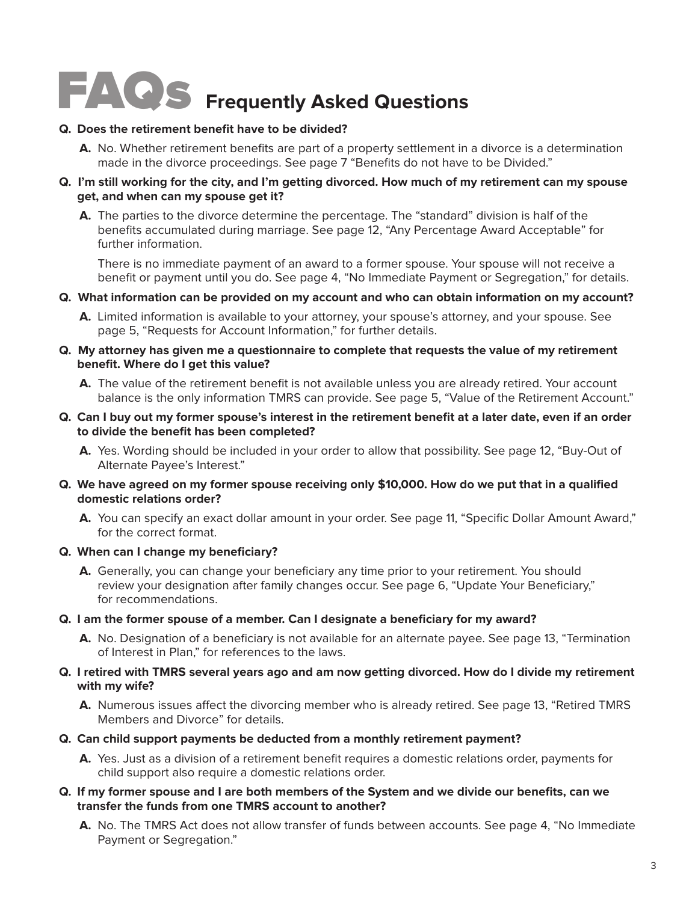# FAQs **Frequently Asked Questions**

#### **Q. Does the retirement benefit have to be divided?**

**A.** No. Whether retirement benefits are part of a property settlement in a divorce is a determination made in the divorce proceedings. See page 7 "Benefits do not have to be Divided."

#### **Q. I'm still working for the city, and I'm getting divorced. How much of my retirement can my spouse get, and when can my spouse get it?**

**A.** The parties to the divorce determine the percentage. The "standard" division is half of the benefits accumulated during marriage. See page 12, "Any Percentage Award Acceptable" for further information.

There is no immediate payment of an award to a former spouse. Your spouse will not receive a benefit or payment until you do. See page 4, "No Immediate Payment or Segregation," for details.

- **Q. What information can be provided on my account and who can obtain information on my account?**
	- **A.** Limited information is available to your attorney, your spouse's attorney, and your spouse. See page 5, "Requests for Account Information," for further details.
- **Q. My attorney has given me a questionnaire to complete that requests the value of my retirement benefit. Where do I get this value?**
	- **A.** The value of the retirement benefit is not available unless you are already retired. Your account balance is the only information TMRS can provide. See page 5, "Value of the Retirement Account."
- **Q. Can I buy out my former spouse's interest in the retirement benefit at a later date, even if an order to divide the benefit has been completed?**
	- **A.** Yes. Wording should be included in your order to allow that possibility. See page 12, "Buy-Out of Alternate Payee's Interest."
- **Q. We have agreed on my former spouse receiving only \$10,000. How do we put that in a qualified domestic relations order?**
	- **A.** You can specify an exact dollar amount in your order. See page 11, "Specific Dollar Amount Award," for the correct format.

#### **Q. When can I change my beneficiary?**

- **A.** Generally, you can change your beneficiary any time prior to your retirement. You should review your designation after family changes occur. See page 6, "Update Your Beneficiary," for recommendations.
- **Q. I am the former spouse of a member. Can I designate a beneficiary for my award?**
	- **A.** No. Designation of a beneficiary is not available for an alternate payee. See page 13, "Termination of Interest in Plan," for references to the laws.

#### **Q. I retired with TMRS several years ago and am now getting divorced. How do I divide my retirement with my wife?**

- **A.** Numerous issues affect the divorcing member who is already retired. See page 13, "Retired TMRS Members and Divorce" for details.
- **Q. Can child support payments be deducted from a monthly retirement payment?**
	- **A.** Yes. Just as a division of a retirement benefit requires a domestic relations order, payments for child support also require a domestic relations order.
- **Q. If my former spouse and I are both members of the System and we divide our benefits, can we transfer the funds from one TMRS account to another?**
	- **A.** No. The TMRS Act does not allow transfer of funds between accounts. See page 4, "No Immediate Payment or Segregation."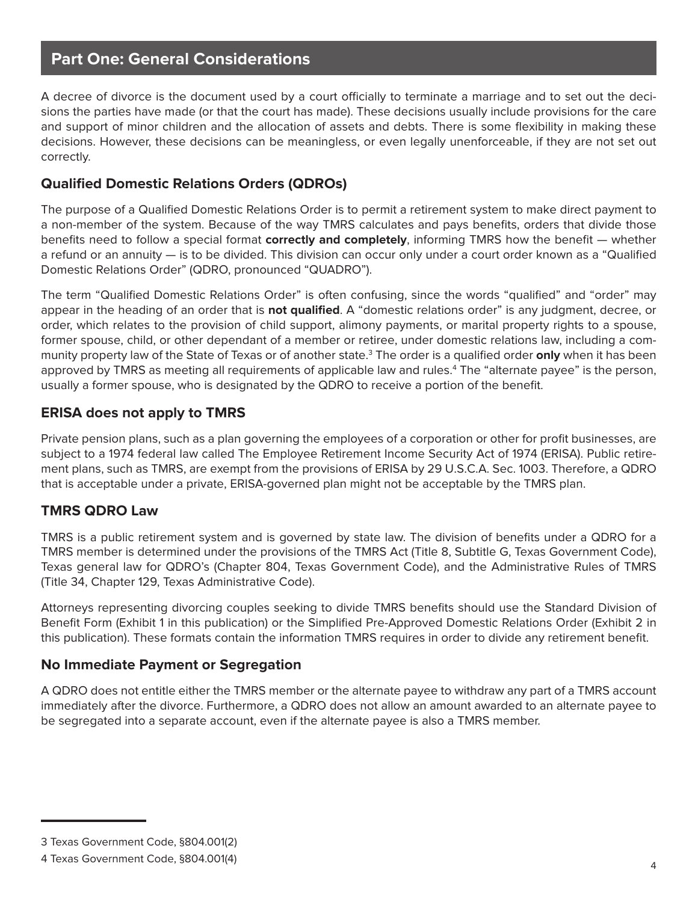## **Part One: General Considerations**

A decree of divorce is the document used by a court officially to terminate a marriage and to set out the decisions the parties have made (or that the court has made). These decisions usually include provisions for the care and support of minor children and the allocation of assets and debts. There is some flexibility in making these decisions. However, these decisions can be meaningless, or even legally unenforceable, if they are not set out correctly.

## **Qualified Domestic Relations Orders (QDROs)**

The purpose of a Qualified Domestic Relations Order is to permit a retirement system to make direct payment to a non-member of the system. Because of the way TMRS calculates and pays benefits, orders that divide those benefits need to follow a special format **correctly and completely**, informing TMRS how the benefit — whether a refund or an annuity — is to be divided. This division can occur only under a court order known as a "Qualified Domestic Relations Order" (QDRO, pronounced "QUADRO").

The term "Qualified Domestic Relations Order" is often confusing, since the words "qualified" and "order" may appear in the heading of an order that is **not qualified**. A "domestic relations order" is any judgment, decree, or order, which relates to the provision of child support, alimony payments, or marital property rights to a spouse, former spouse, child, or other dependant of a member or retiree, under domestic relations law, including a community property law of the State of Texas or of another state.<sup>3</sup> The order is a qualified order **only** when it has been approved by TMRS as meeting all requirements of applicable law and rules.<sup>4</sup> The "alternate payee" is the person, usually a former spouse, who is designated by the QDRO to receive a portion of the benefit.

## **ERISA does not apply to TMRS**

Private pension plans, such as a plan governing the employees of a corporation or other for profit businesses, are subject to a 1974 federal law called The Employee Retirement Income Security Act of 1974 (ERISA). Public retirement plans, such as TMRS, are exempt from the provisions of ERISA by 29 U.S.C.A. Sec. 1003. Therefore, a QDRO that is acceptable under a private, ERISA-governed plan might not be acceptable by the TMRS plan.

### **TMRS QDRO Law**

TMRS is a public retirement system and is governed by state law. The division of benefits under a QDRO for a TMRS member is determined under the provisions of the TMRS Act (Title 8, Subtitle G, Texas Government Code), Texas general law for QDRO's (Chapter 804, Texas Government Code), and the Administrative Rules of TMRS (Title 34, Chapter 129, Texas Administrative Code).

Attorneys representing divorcing couples seeking to divide TMRS benefits should use the Standard Division of Benefit Form (Exhibit 1 in this publication) or the Simplified Pre-Approved Domestic Relations Order (Exhibit 2 in this publication). These formats contain the information TMRS requires in order to divide any retirement benefit.

### **No Immediate Payment or Segregation**

A QDRO does not entitle either the TMRS member or the alternate payee to withdraw any part of a TMRS account immediately after the divorce. Furthermore, a QDRO does not allow an amount awarded to an alternate payee to be segregated into a separate account, even if the alternate payee is also a TMRS member.

<sup>3</sup> Texas Government Code, §804.001(2)

<sup>4</sup> Texas Government Code, §804.001(4)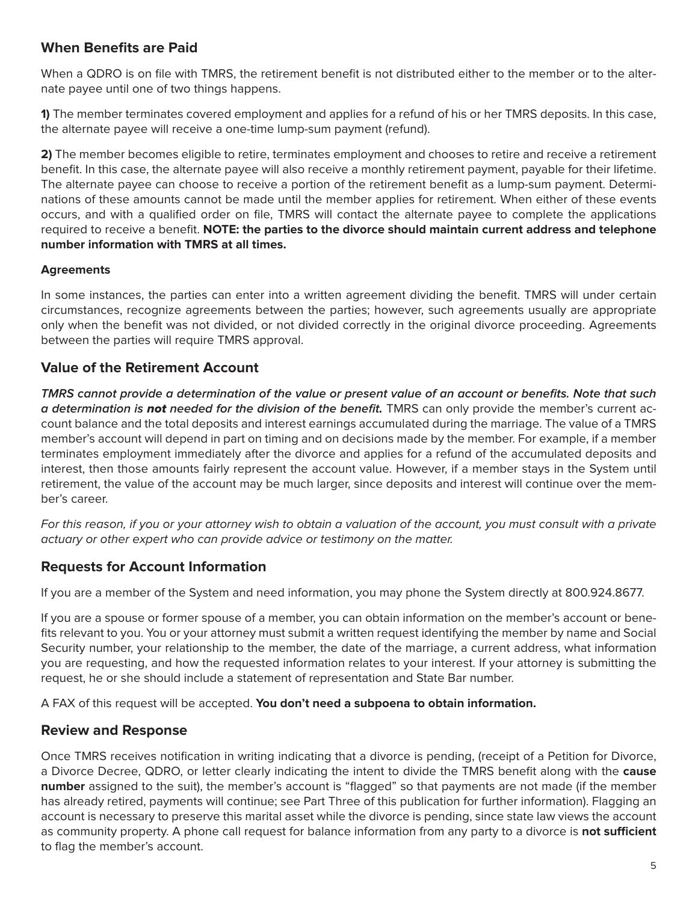## **When Benefits are Paid**

When a QDRO is on file with TMRS, the retirement benefit is not distributed either to the member or to the alternate payee until one of two things happens.

**1)** The member terminates covered employment and applies for a refund of his or her TMRS deposits. In this case, the alternate payee will receive a one-time lump-sum payment (refund).

**2)** The member becomes eligible to retire, terminates employment and chooses to retire and receive a retirement benefit. In this case, the alternate payee will also receive a monthly retirement payment, payable for their lifetime. The alternate payee can choose to receive a portion of the retirement benefit as a lump-sum payment. Determinations of these amounts cannot be made until the member applies for retirement. When either of these events occurs, and with a qualified order on file, TMRS will contact the alternate payee to complete the applications required to receive a benefit. **NOTE: the parties to the divorce should maintain current address and telephone number information with TMRS at all times.** 

#### **Agreements**

In some instances, the parties can enter into a written agreement dividing the benefit. TMRS will under certain circumstances, recognize agreements between the parties; however, such agreements usually are appropriate only when the benefit was not divided, or not divided correctly in the original divorce proceeding. Agreements between the parties will require TMRS approval.

#### **Value of the Retirement Account**

**TMRS cannot provide a determination of the value or present value of an account or benefits. Note that such a determination is** not **needed for the division of the benefit.** TMRS can only provide the member's current account balance and the total deposits and interest earnings accumulated during the marriage. The value of a TMRS member's account will depend in part on timing and on decisions made by the member. For example, if a member terminates employment immediately after the divorce and applies for a refund of the accumulated deposits and interest, then those amounts fairly represent the account value. However, if a member stays in the System until retirement, the value of the account may be much larger, since deposits and interest will continue over the member's career.

For this reason, if you or your attorney wish to obtain a valuation of the account, you must consult with a private actuary or other expert who can provide advice or testimony on the matter.

### **Requests for Account Information**

If you are a member of the System and need information, you may phone the System directly at 800.924.8677.

If you are a spouse or former spouse of a member, you can obtain information on the member's account or benefits relevant to you. You or your attorney must submit a written request identifying the member by name and Social Security number, your relationship to the member, the date of the marriage, a current address, what information you are requesting, and how the requested information relates to your interest. If your attorney is submitting the request, he or she should include a statement of representation and State Bar number.

A FAX of this request will be accepted. **You don't need a subpoena to obtain information.**

#### **Review and Response**

Once TMRS receives notification in writing indicating that a divorce is pending, (receipt of a Petition for Divorce, a Divorce Decree, QDRO, or letter clearly indicating the intent to divide the TMRS benefit along with the **cause number** assigned to the suit), the member's account is "flagged" so that payments are not made (if the member has already retired, payments will continue; see Part Three of this publication for further information). Flagging an account is necessary to preserve this marital asset while the divorce is pending, since state law views the account as community property. A phone call request for balance information from any party to a divorce is **not sufficient** to flag the member's account.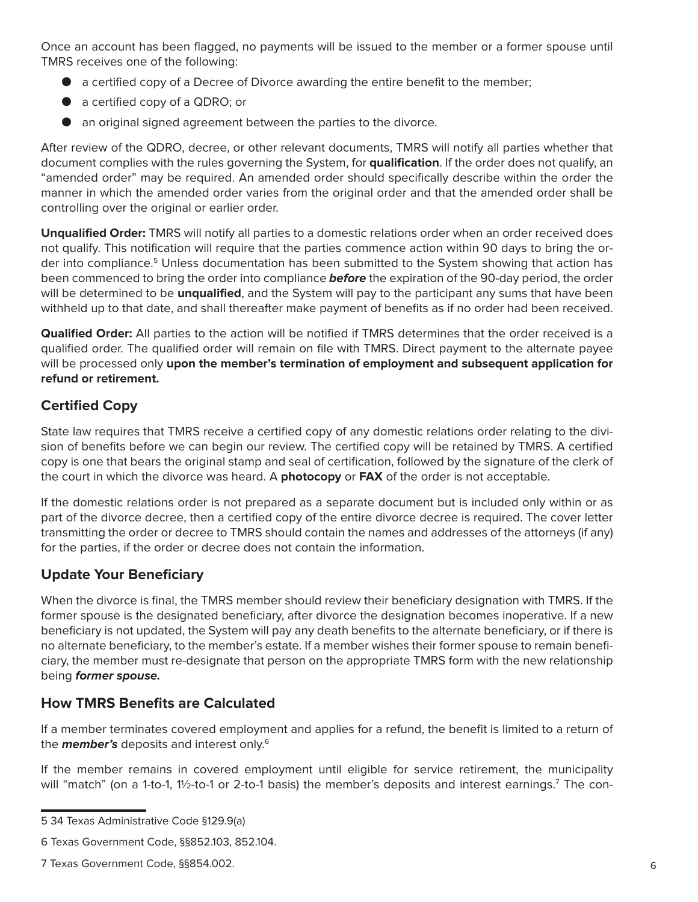Once an account has been flagged, no payments will be issued to the member or a former spouse until TMRS receives one of the following:

- a certified copy of a Decree of Divorce awarding the entire benefit to the member;
- a certified copy of a QDRO; or
- an original signed agreement between the parties to the divorce.

After review of the QDRO, decree, or other relevant documents, TMRS will notify all parties whether that document complies with the rules governing the System, for **qualification**. If the order does not qualify, an "amended order" may be required. An amended order should specifically describe within the order the manner in which the amended order varies from the original order and that the amended order shall be controlling over the original or earlier order.

**Unqualified Order:** TMRS will notify all parties to a domestic relations order when an order received does not qualify. This notification will require that the parties commence action within 90 days to bring the order into compliance.<sup>5</sup> Unless documentation has been submitted to the System showing that action has been commenced to bring the order into compliance **before** the expiration of the 90-day period, the order will be determined to be **unqualified**, and the System will pay to the participant any sums that have been withheld up to that date, and shall thereafter make payment of benefits as if no order had been received.

**Qualified Order:** All parties to the action will be notified if TMRS determines that the order received is a qualified order. The qualified order will remain on file with TMRS. Direct payment to the alternate payee will be processed only **upon the member's termination of employment and subsequent application for refund or retirement.**

## **Certified Copy**

State law requires that TMRS receive a certified copy of any domestic relations order relating to the division of benefits before we can begin our review. The certified copy will be retained by TMRS. A certified copy is one that bears the original stamp and seal of certification, followed by the signature of the clerk of the court in which the divorce was heard. A **photocopy** or **FAX** of the order is not acceptable.

If the domestic relations order is not prepared as a separate document but is included only within or as part of the divorce decree, then a certified copy of the entire divorce decree is required. The cover letter transmitting the order or decree to TMRS should contain the names and addresses of the attorneys (if any) for the parties, if the order or decree does not contain the information.

### **Update Your Beneficiary**

When the divorce is final, the TMRS member should review their beneficiary designation with TMRS. If the former spouse is the designated beneficiary, after divorce the designation becomes inoperative. If a new beneficiary is not updated, the System will pay any death benefits to the alternate beneficiary, or if there is no alternate beneficiary, to the member's estate. If a member wishes their former spouse to remain beneficiary, the member must re-designate that person on the appropriate TMRS form with the new relationship being **former spouse.**

## **How TMRS Benefits are Calculated**

If a member terminates covered employment and applies for a refund, the benefit is limited to a return of the **member's** deposits and interest only.6

If the member remains in covered employment until eligible for service retirement, the municipality will "match" (on a 1-to-1, 1½-to-1 or 2-to-1 basis) the member's deposits and interest earnings.<sup>7</sup> The con-

<sup>5 34</sup> Texas Administrative Code §129.9(a)

<sup>6</sup> Texas Government Code, §§852.103, 852.104.

<sup>7</sup> Texas Government Code, §§854.002.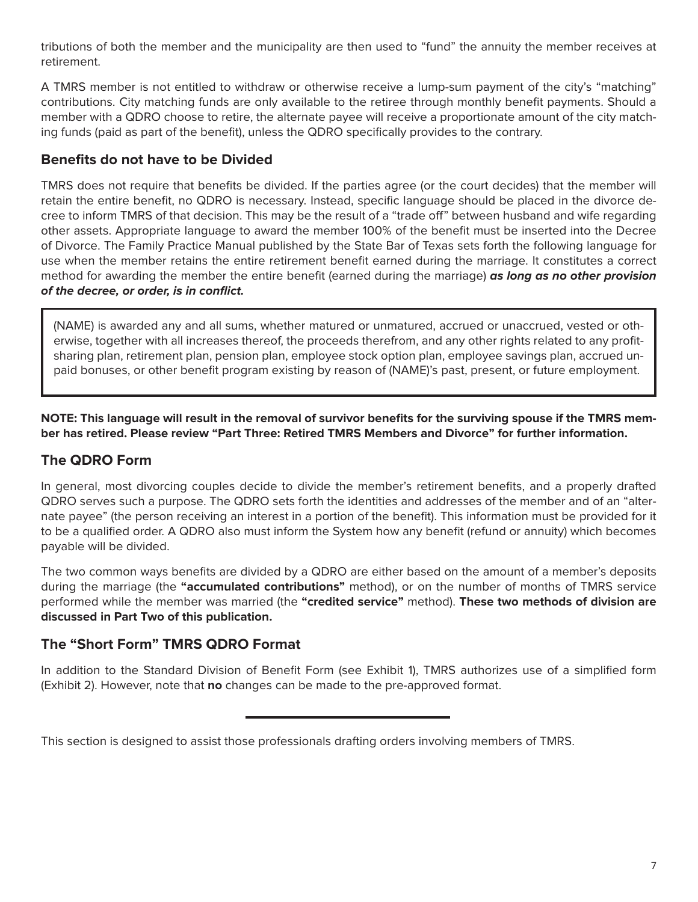tributions of both the member and the municipality are then used to "fund" the annuity the member receives at retirement.

A TMRS member is not entitled to withdraw or otherwise receive a lump-sum payment of the city's "matching" contributions. City matching funds are only available to the retiree through monthly benefit payments. Should a member with a QDRO choose to retire, the alternate payee will receive a proportionate amount of the city matching funds (paid as part of the benefit), unless the QDRO specifically provides to the contrary.

## **Benefits do not have to be Divided**

TMRS does not require that benefits be divided. If the parties agree (or the court decides) that the member will retain the entire benefit, no QDRO is necessary. Instead, specific language should be placed in the divorce decree to inform TMRS of that decision. This may be the result of a "trade off" between husband and wife regarding other assets. Appropriate language to award the member 100% of the benefit must be inserted into the Decree of Divorce. The Family Practice Manual published by the State Bar of Texas sets forth the following language for use when the member retains the entire retirement benefit earned during the marriage. It constitutes a correct method for awarding the member the entire benefit (earned during the marriage) **as long as no other provision of the decree, or order, is in conflict.**

(NAME) is awarded any and all sums, whether matured or unmatured, accrued or unaccrued, vested or otherwise, together with all increases thereof, the proceeds therefrom, and any other rights related to any profitsharing plan, retirement plan, pension plan, employee stock option plan, employee savings plan, accrued unpaid bonuses, or other benefit program existing by reason of (NAME)'s past, present, or future employment.

**NOTE: This language will result in the removal of survivor benefits for the surviving spouse if the TMRS member has retired. Please review "Part Three: Retired TMRS Members and Divorce" for further information.**

## **The QDRO Form**

In general, most divorcing couples decide to divide the member's retirement benefits, and a properly drafted QDRO serves such a purpose. The QDRO sets forth the identities and addresses of the member and of an "alternate payee" (the person receiving an interest in a portion of the benefit). This information must be provided for it to be a qualified order. A QDRO also must inform the System how any benefit (refund or annuity) which becomes payable will be divided.

The two common ways benefits are divided by a QDRO are either based on the amount of a member's deposits during the marriage (the **"accumulated contributions"** method), or on the number of months of TMRS service performed while the member was married (the **"credited service"** method). **These two methods of division are discussed in Part Two of this publication.**

### **The "Short Form" TMRS QDRO Format**

In addition to the Standard Division of Benefit Form (see Exhibit 1), TMRS authorizes use of a simplified form (Exhibit 2). However, note that **no** changes can be made to the pre-approved format.

This section is designed to assist those professionals drafting orders involving members of TMRS.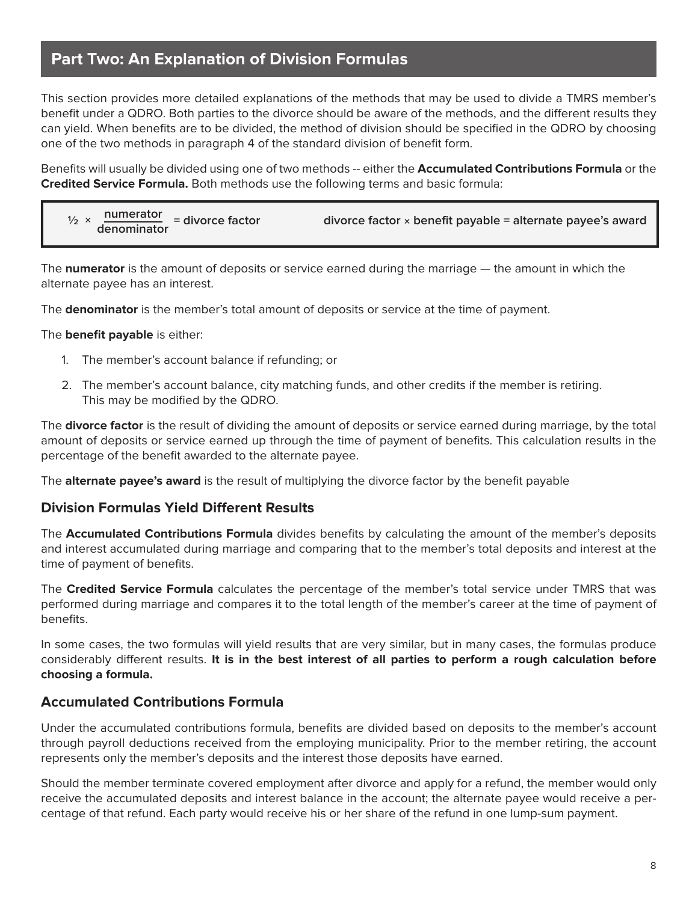## **Part Two: An Explanation of Division Formulas**

This section provides more detailed explanations of the methods that may be used to divide a TMRS member's benefit under a QDRO. Both parties to the divorce should be aware of the methods, and the different results they can yield. When benefits are to be divided, the method of division should be specified in the QDRO by choosing one of the two methods in paragraph 4 of the standard division of benefit form.

Benefits will usually be divided using one of two methods -- either the **Accumulated Contributions Formula** or the **Credited Service Formula.** Both methods use the following terms and basic formula:

| $\frac{1}{2} \times \frac{$ numerator<br>denominator = divorce factor | divorce factor $\times$ benefit payable = alternate payee's award |
|-----------------------------------------------------------------------|-------------------------------------------------------------------|
|-----------------------------------------------------------------------|-------------------------------------------------------------------|

The **numerator** is the amount of deposits or service earned during the marriage — the amount in which the alternate payee has an interest.

The **denominator** is the member's total amount of deposits or service at the time of payment.

#### The **benefit payable** is either:

- 1. The member's account balance if refunding; or
- 2. The member's account balance, city matching funds, and other credits if the member is retiring. This may be modified by the QDRO.

The **divorce factor** is the result of dividing the amount of deposits or service earned during marriage, by the total amount of deposits or service earned up through the time of payment of benefits. This calculation results in the percentage of the benefit awarded to the alternate payee.

The **alternate payee's award** is the result of multiplying the divorce factor by the benefit payable

#### **Division Formulas Yield Different Results**

The **Accumulated Contributions Formula** divides benefits by calculating the amount of the member's deposits and interest accumulated during marriage and comparing that to the member's total deposits and interest at the time of payment of benefits.

The **Credited Service Formula** calculates the percentage of the member's total service under TMRS that was performed during marriage and compares it to the total length of the member's career at the time of payment of benefits.

In some cases, the two formulas will yield results that are very similar, but in many cases, the formulas produce considerably different results. **It is in the best interest of all parties to perform a rough calculation before choosing a formula.** 

#### **Accumulated Contributions Formula**

Under the accumulated contributions formula, benefits are divided based on deposits to the member's account through payroll deductions received from the employing municipality. Prior to the member retiring, the account represents only the member's deposits and the interest those deposits have earned.

Should the member terminate covered employment after divorce and apply for a refund, the member would only receive the accumulated deposits and interest balance in the account; the alternate payee would receive a percentage of that refund. Each party would receive his or her share of the refund in one lump-sum payment.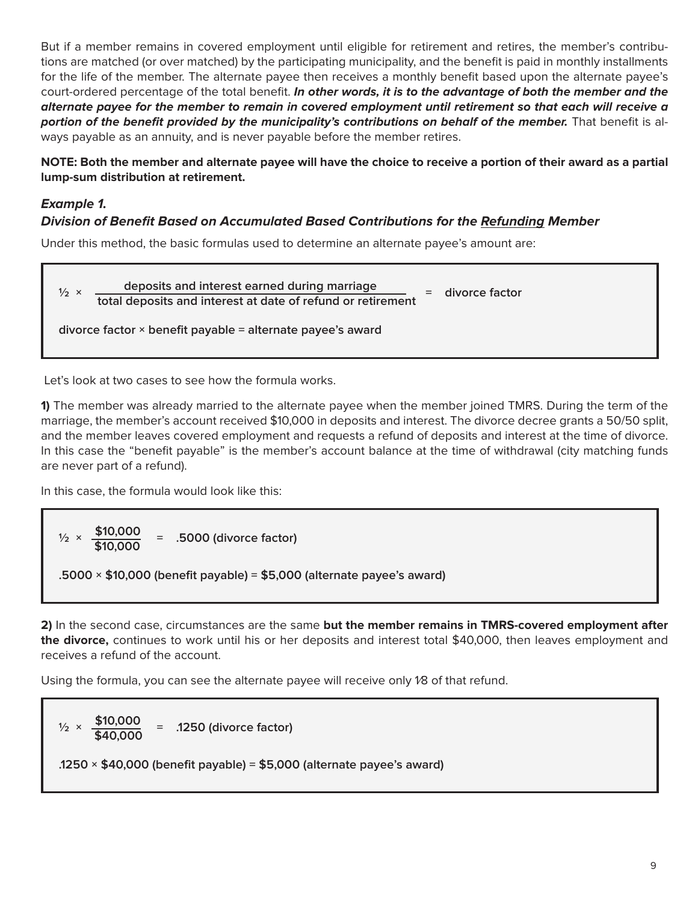But if a member remains in covered employment until eligible for retirement and retires, the member's contributions are matched (or over matched) by the participating municipality, and the benefit is paid in monthly installments for the life of the member. The alternate payee then receives a monthly benefit based upon the alternate payee's court-ordered percentage of the total benefit. **In other words, it is to the advantage of both the member and the alternate payee for the member to remain in covered employment until retirement so that each will receive a portion of the benefit provided by the municipality's contributions on behalf of the member.** That benefit is always payable as an annuity, and is never payable before the member retires.

**NOTE: Both the member and alternate payee will have the choice to receive a portion of their award as a partial lump-sum distribution at retirement.**

### **Example 1.**

#### **Division of Benefit Based on Accumulated Based Contributions for the Refunding Member**

Under this method, the basic formulas used to determine an alternate payee's amount are:

**½ × deposits and interest earned during marriage = divorce factor total deposits and interest at date of refund or retirement divorce factor × benefit payable = alternate payee's award**

Let's look at two cases to see how the formula works.

**1)** The member was already married to the alternate payee when the member joined TMRS. During the term of the marriage, the member's account received \$10,000 in deposits and interest. The divorce decree grants a 50/50 split, and the member leaves covered employment and requests a refund of deposits and interest at the time of divorce. In this case the "benefit payable" is the member's account balance at the time of withdrawal (city matching funds are never part of a refund).

In this case, the formula would look like this:

 $\frac{$1}{2} \times \frac{$10,000}{$10,000} = .5000$  (divorce factor) **.5000 × \$10,000 (benefit payable) = \$5,000 (alternate payee's award)**

**2)** In the second case, circumstances are the same **but the member remains in TMRS-covered employment after the divorce,** continues to work until his or her deposits and interest total \$40,000, then leaves employment and receives a refund of the account.

Using the formula, you can see the alternate payee will receive only 1⁄8 of that refund.

 $\frac{1}{2} \times \frac{$10,000}{$10,000} = .1250$  (divorce factor) **.1250 × \$40,000 (benefit payable) = \$5,000 (alternate payee's award)**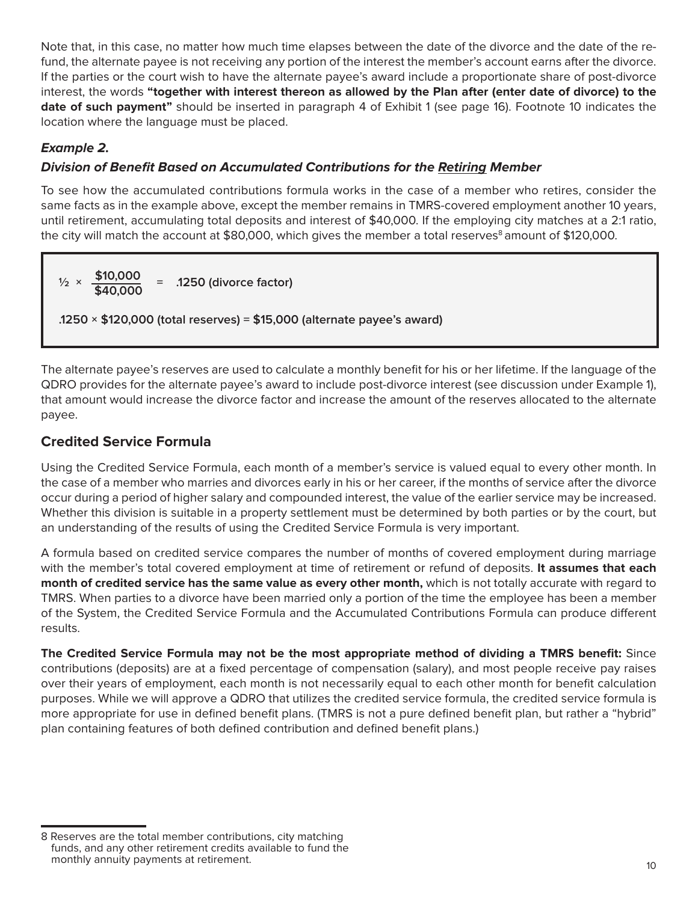Note that, in this case, no matter how much time elapses between the date of the divorce and the date of the refund, the alternate payee is not receiving any portion of the interest the member's account earns after the divorce. If the parties or the court wish to have the alternate payee's award include a proportionate share of post-divorce interest, the words **"together with interest thereon as allowed by the Plan after (enter date of divorce) to the date of such payment"** should be inserted in paragraph 4 of Exhibit 1 (see page 16). Footnote 10 indicates the location where the language must be placed.

## **Example 2.**

## **Division of Benefit Based on Accumulated Contributions for the Retiring Member**

To see how the accumulated contributions formula works in the case of a member who retires, consider the same facts as in the example above, except the member remains in TMRS-covered employment another 10 years, until retirement, accumulating total deposits and interest of \$40,000. If the employing city matches at a 2:1 ratio, the city will match the account at \$80,000, which gives the member a total reserves<sup>8</sup> amount of \$120,000.

 $\frac{1}{2} \times \frac{$10,000}{$40,000} = .1250$  (divorce factor) **.1250 × \$120,000 (total reserves) = \$15,000 (alternate payee's award)**

The alternate payee's reserves are used to calculate a monthly benefit for his or her lifetime. If the language of the QDRO provides for the alternate payee's award to include post-divorce interest (see discussion under Example 1), that amount would increase the divorce factor and increase the amount of the reserves allocated to the alternate payee.

## **Credited Service Formula**

Using the Credited Service Formula, each month of a member's service is valued equal to every other month. In the case of a member who marries and divorces early in his or her career, if the months of service after the divorce occur during a period of higher salary and compounded interest, the value of the earlier service may be increased. Whether this division is suitable in a property settlement must be determined by both parties or by the court, but an understanding of the results of using the Credited Service Formula is very important.

A formula based on credited service compares the number of months of covered employment during marriage with the member's total covered employment at time of retirement or refund of deposits. **It assumes that each month of credited service has the same value as every other month,** which is not totally accurate with regard to TMRS. When parties to a divorce have been married only a portion of the time the employee has been a member of the System, the Credited Service Formula and the Accumulated Contributions Formula can produce different results.

**The Credited Service Formula may not be the most appropriate method of dividing a TMRS benefit:** Since contributions (deposits) are at a fixed percentage of compensation (salary), and most people receive pay raises over their years of employment, each month is not necessarily equal to each other month for benefit calculation purposes. While we will approve a QDRO that utilizes the credited service formula, the credited service formula is more appropriate for use in defined benefit plans. (TMRS is not a pure defined benefit plan, but rather a "hybrid" plan containing features of both defined contribution and defined benefit plans.)

<sup>8</sup> Reserves are the total member contributions, city matching funds, and any other retirement credits available to fund the monthly annuity payments at retirement.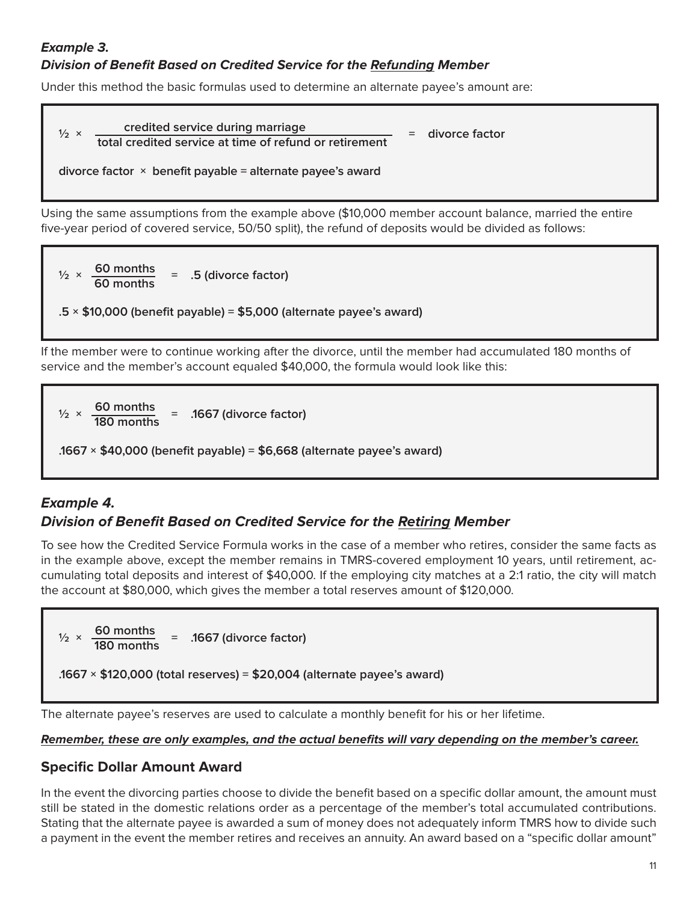## **Example 3. Division of Benefit Based on Credited Service for the Refunding Member**

Under this method the basic formulas used to determine an alternate payee's amount are:



Using the same assumptions from the example above (\$10,000 member account balance, married the entire five-year period of covered service, 50/50 split), the refund of deposits would be divided as follows:

 $\frac{1}{2} \times \frac{60 \text{ months}}{60 \text{ months}} = .5$  (divorce factor)

**.5 × \$10,000 (benefit payable) = \$5,000 (alternate payee's award)**

If the member were to continue working after the divorce, until the member had accumulated 180 months of service and the member's account equaled \$40,000, the formula would look like this:

 $\frac{1}{2} \times \frac{60 \text{ months}}{180 \text{ months}} = .1667 \text{ (divorce factor)}$ 

**.1667 × \$40,000 (benefit payable) = \$6,668 (alternate payee's award)**

## **Example 4.**

## **Division of Benefit Based on Credited Service for the Retiring Member**

To see how the Credited Service Formula works in the case of a member who retires, consider the same facts as in the example above, except the member remains in TMRS-covered employment 10 years, until retirement, accumulating total deposits and interest of \$40,000. If the employing city matches at a 2:1 ratio, the city will match the account at \$80,000, which gives the member a total reserves amount of \$120,000.



The alternate payee's reserves are used to calculate a monthly benefit for his or her lifetime.

#### **Remember, these are only examples, and the actual benefits will vary depending on the member's career.**

## **Specific Dollar Amount Award**

In the event the divorcing parties choose to divide the benefit based on a specific dollar amount, the amount must still be stated in the domestic relations order as a percentage of the member's total accumulated contributions. Stating that the alternate payee is awarded a sum of money does not adequately inform TMRS how to divide such a payment in the event the member retires and receives an annuity. An award based on a "specific dollar amount"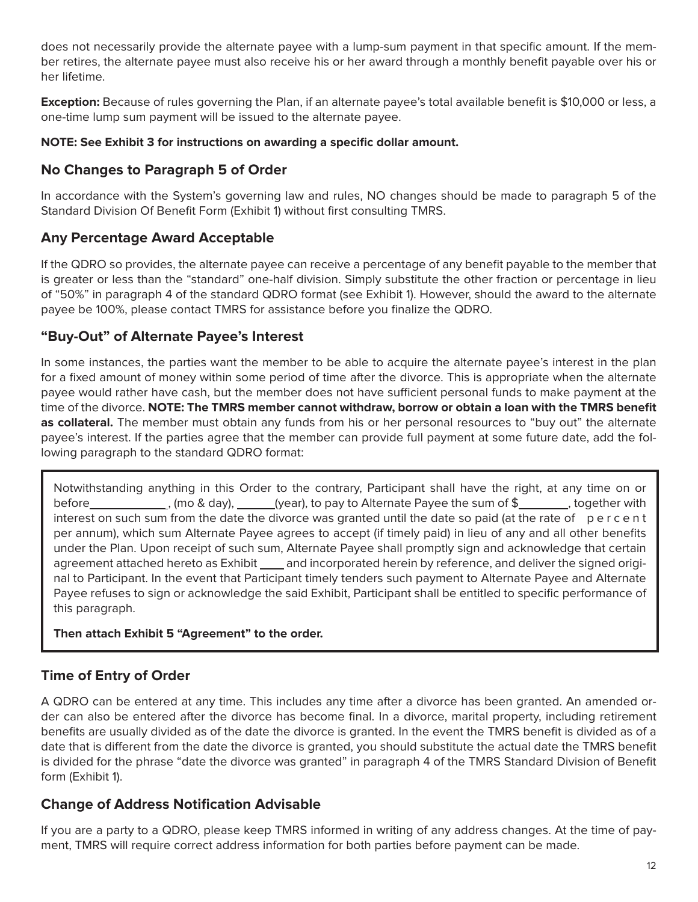does not necessarily provide the alternate payee with a lump-sum payment in that specific amount. If the member retires, the alternate payee must also receive his or her award through a monthly benefit payable over his or her lifetime.

**Exception:** Because of rules governing the Plan, if an alternate payee's total available benefit is \$10,000 or less, a one-time lump sum payment will be issued to the alternate payee.

#### **NOTE: See Exhibit 3 for instructions on awarding a specific dollar amount.**

## **No Changes to Paragraph 5 of Order**

In accordance with the System's governing law and rules, NO changes should be made to paragraph 5 of the Standard Division Of Benefit Form (Exhibit 1) without first consulting TMRS.

## **Any Percentage Award Acceptable**

If the QDRO so provides, the alternate payee can receive a percentage of any benefit payable to the member that is greater or less than the "standard" one-half division. Simply substitute the other fraction or percentage in lieu of "50%" in paragraph 4 of the standard QDRO format (see Exhibit 1). However, should the award to the alternate payee be 100%, please contact TMRS for assistance before you finalize the QDRO.

## **"Buy-Out" of Alternate Payee's Interest**

In some instances, the parties want the member to be able to acquire the alternate payee's interest in the plan for a fixed amount of money within some period of time after the divorce. This is appropriate when the alternate payee would rather have cash, but the member does not have sufficient personal funds to make payment at the time of the divorce. **NOTE: The TMRS member cannot withdraw, borrow or obtain a loan with the TMRS benefit as collateral.** The member must obtain any funds from his or her personal resources to "buy out" the alternate payee's interest. If the parties agree that the member can provide full payment at some future date, add the following paragraph to the standard QDRO format:

Notwithstanding anything in this Order to the contrary, Participant shall have the right, at any time on or before , (mo & day), (year), to pay to Alternate Payee the sum of \$ , together with interest on such sum from the date the divorce was granted until the date so paid (at the rate of percent per annum), which sum Alternate Payee agrees to accept (if timely paid) in lieu of any and all other benefits under the Plan. Upon receipt of such sum, Alternate Payee shall promptly sign and acknowledge that certain agreement attached hereto as Exhibit \_\_\_\_ and incorporated herein by reference, and deliver the signed original to Participant. In the event that Participant timely tenders such payment to Alternate Payee and Alternate Payee refuses to sign or acknowledge the said Exhibit, Participant shall be entitled to specific performance of this paragraph.

### **Then attach Exhibit 5 "Agreement" to the order.**

## **Time of Entry of Order**

A QDRO can be entered at any time. This includes any time after a divorce has been granted. An amended order can also be entered after the divorce has become final. In a divorce, marital property, including retirement benefits are usually divided as of the date the divorce is granted. In the event the TMRS benefit is divided as of a date that is different from the date the divorce is granted, you should substitute the actual date the TMRS benefit is divided for the phrase "date the divorce was granted" in paragraph 4 of the TMRS Standard Division of Benefit form (Exhibit 1).

## **Change of Address Notification Advisable**

If you are a party to a QDRO, please keep TMRS informed in writing of any address changes. At the time of payment, TMRS will require correct address information for both parties before payment can be made.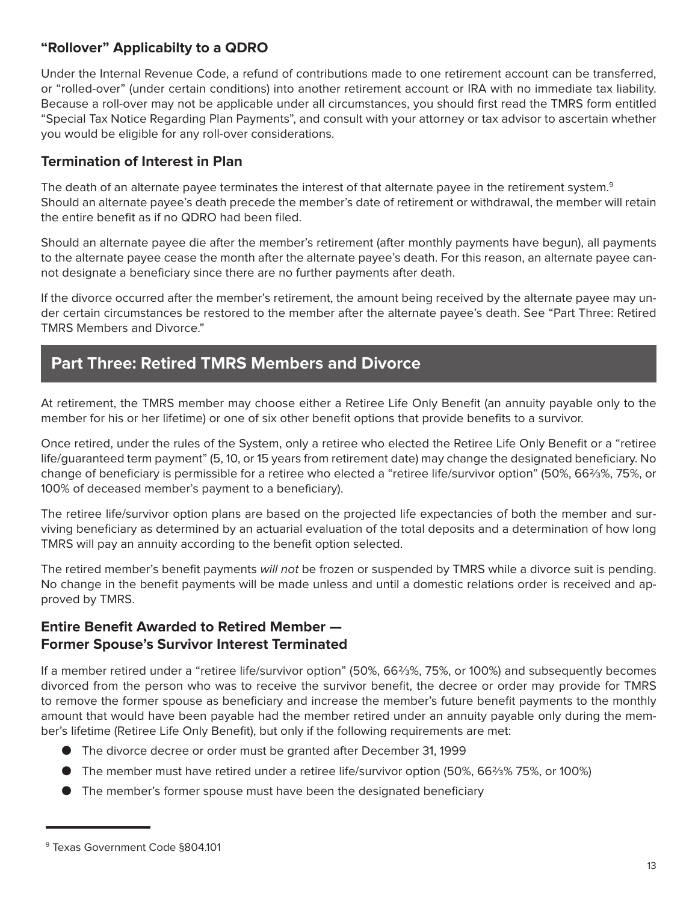## **"Rollover" Applicabilty to a QDRO**

Under the Internal Revenue Code, a refund of contributions made to one retirement account can be transferred, or "rolled-over" (under certain conditions) into another retirement account or IRA with no immediate tax liability. Because a roll-over may not be applicable under all circumstances, you should first read the TMRS form entitled "Special Tax Notice Regarding Plan Payments", and consult with your attorney or tax advisor to ascertain whether you would be eligible for any roll-over considerations.

## **Termination of Interest in Plan**

The death of an alternate payee terminates the interest of that alternate payee in the retirement system.<sup>9</sup> Should an alternate payee's death precede the member's date of retirement or withdrawal, the member will retain the entire benefit as if no QDRO had been filed.

Should an alternate payee die after the member's retirement (after monthly payments have begun), all payments to the alternate payee cease the month after the alternate payee's death. For this reason, an alternate payee cannot designate a beneficiary since there are no further payments after death.

If the divorce occurred after the member's retirement, the amount being received by the alternate payee may under certain circumstances be restored to the member after the alternate payee's death. See "Part Three: Retired TMRS Members and Divorce."

## **Part Three: Retired TMRS Members and Divorce**

At retirement, the TMRS member may choose either a Retiree Life Only Benefit (an annuity payable only to the member for his or her lifetime) or one of six other benefit options that provide benefits to a survivor.

Once retired, under the rules of the System, only a retiree who elected the Retiree Life Only Benefit or a "retiree life/guaranteed term payment" (5, 10, or 15 years from retirement date) may change the designated beneficiary. No change of beneficiary is permissible for a retiree who elected a "retiree life/survivor option" (50%, 66⅔%, 75%, or 100% of deceased member's payment to a beneficiary).

The retiree life/survivor option plans are based on the projected life expectancies of both the member and surviving beneficiary as determined by an actuarial evaluation of the total deposits and a determination of how long TMRS will pay an annuity according to the benefit option selected.

The retired member's benefit payments will not be frozen or suspended by TMRS while a divorce suit is pending. No change in the benefit payments will be made unless and until a domestic relations order is received and approved by TMRS.

## **Entire Benefit Awarded to Retired Member — Former Spouse's Survivor Interest Terminated**

If a member retired under a "retiree life/survivor option" (50%, 66⅔%, 75%, or 100%) and subsequently becomes divorced from the person who was to receive the survivor benefit, the decree or order may provide for TMRS to remove the former spouse as beneficiary and increase the member's future benefit payments to the monthly amount that would have been payable had the member retired under an annuity payable only during the member's lifetime (Retiree Life Only Benefit), but only if the following requirements are met:

- The divorce decree or order must be granted after December 31, 1999
- The member must have retired under a retiree life/survivor option (50%, 66⅔% 75%, or 100%)
- The member's former spouse must have been the designated beneficiary

<sup>9</sup> Texas Government Code §804.101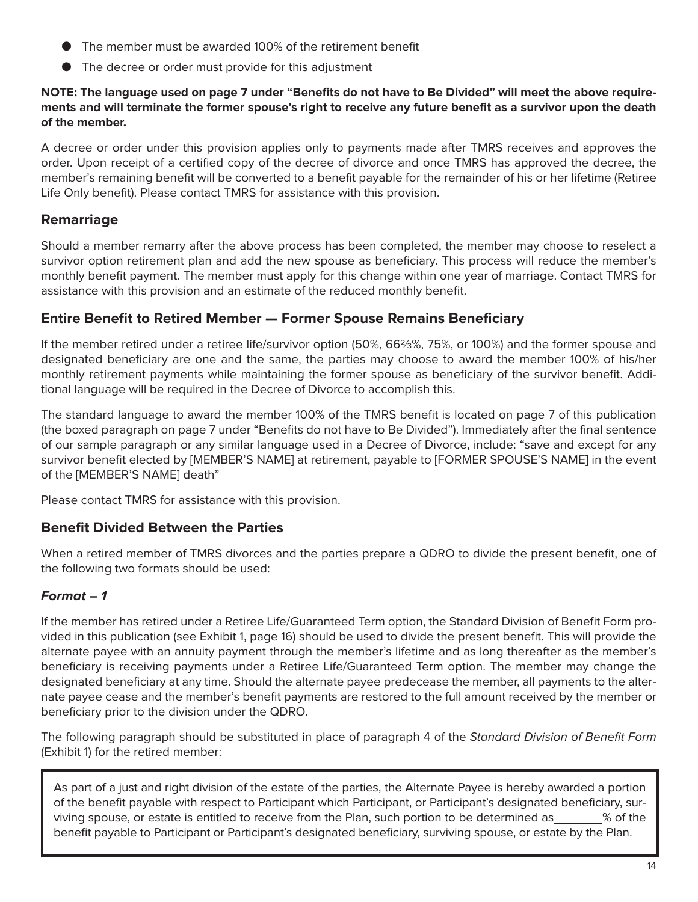- The member must be awarded 100% of the retirement benefit
- The decree or order must provide for this adjustment

#### **NOTE: The language used on page 7 under "Benefits do not have to Be Divided" will meet the above requirements and will terminate the former spouse's right to receive any future benefit as a survivor upon the death of the member.**

A decree or order under this provision applies only to payments made after TMRS receives and approves the order. Upon receipt of a certified copy of the decree of divorce and once TMRS has approved the decree, the member's remaining benefit will be converted to a benefit payable for the remainder of his or her lifetime (Retiree Life Only benefit). Please contact TMRS for assistance with this provision.

## **Remarriage**

Should a member remarry after the above process has been completed, the member may choose to reselect a survivor option retirement plan and add the new spouse as beneficiary. This process will reduce the member's monthly benefit payment. The member must apply for this change within one year of marriage. Contact TMRS for assistance with this provision and an estimate of the reduced monthly benefit.

## **Entire Benefit to Retired Member — Former Spouse Remains Beneficiary**

If the member retired under a retiree life/survivor option (50%, 66⅔%, 75%, or 100%) and the former spouse and designated beneficiary are one and the same, the parties may choose to award the member 100% of his/her monthly retirement payments while maintaining the former spouse as beneficiary of the survivor benefit. Additional language will be required in the Decree of Divorce to accomplish this.

The standard language to award the member 100% of the TMRS benefit is located on page 7 of this publication (the boxed paragraph on page 7 under "Benefits do not have to Be Divided"). Immediately after the final sentence of our sample paragraph or any similar language used in a Decree of Divorce, include: "save and except for any survivor benefit elected by [MEMBER'S NAME] at retirement, payable to [FORMER SPOUSE'S NAME] in the event of the [MEMBER'S NAME] death"

Please contact TMRS for assistance with this provision.

### **Benefit Divided Between the Parties**

When a retired member of TMRS divorces and the parties prepare a QDRO to divide the present benefit, one of the following two formats should be used:

## **Format – 1**

If the member has retired under a Retiree Life/Guaranteed Term option, the Standard Division of Benefit Form provided in this publication (see Exhibit 1, page 16) should be used to divide the present benefit. This will provide the alternate payee with an annuity payment through the member's lifetime and as long thereafter as the member's beneficiary is receiving payments under a Retiree Life/Guaranteed Term option. The member may change the designated beneficiary at any time. Should the alternate payee predecease the member, all payments to the alternate payee cease and the member's benefit payments are restored to the full amount received by the member or beneficiary prior to the division under the QDRO.

The following paragraph should be substituted in place of paragraph 4 of the Standard Division of Benefit Form (Exhibit 1) for the retired member:

As part of a just and right division of the estate of the parties, the Alternate Payee is hereby awarded a portion of the benefit payable with respect to Participant which Participant, or Participant's designated beneficiary, surviving spouse, or estate is entitled to receive from the Plan, such portion to be determined as \_\_\_\_\_\_% of the benefit payable to Participant or Participant's designated beneficiary, surviving spouse, or estate by the Plan.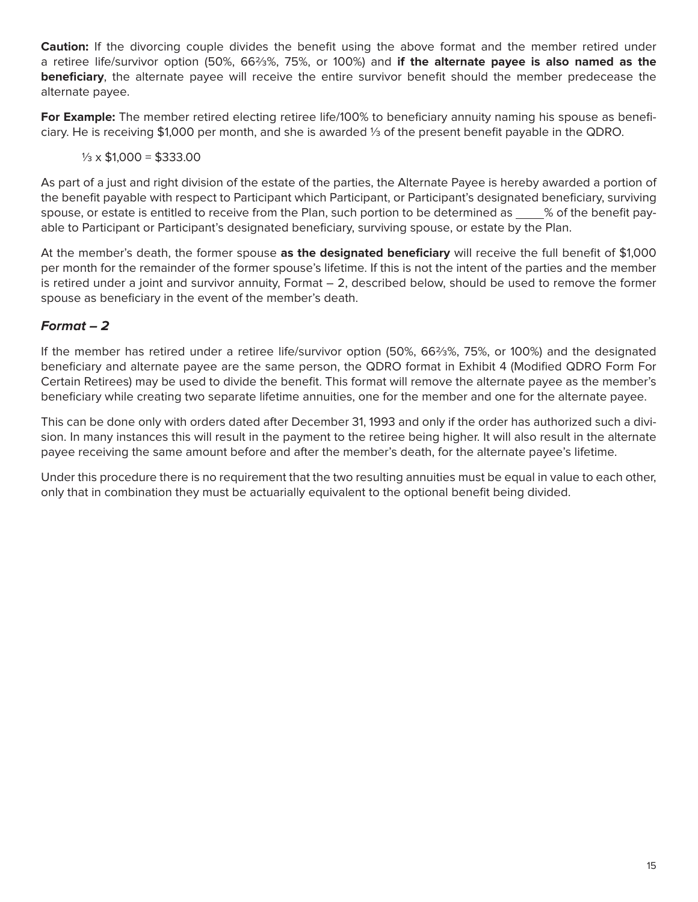**Caution:** If the divorcing couple divides the benefit using the above format and the member retired under a retiree life/survivor option (50%, 66⅔%, 75%, or 100%) and **if the alternate payee is also named as the beneficiary**, the alternate payee will receive the entire survivor benefit should the member predecease the alternate payee.

**For Example:** The member retired electing retiree life/100% to beneficiary annuity naming his spouse as beneficiary. He is receiving \$1,000 per month, and she is awarded ⅓ of the present benefit payable in the QDRO.

 $\frac{1}{3} \times $1,000 = $333.00$ 

As part of a just and right division of the estate of the parties, the Alternate Payee is hereby awarded a portion of the benefit payable with respect to Participant which Participant, or Participant's designated beneficiary, surviving spouse, or estate is entitled to receive from the Plan, such portion to be determined as \_\_\_\_% of the benefit payable to Participant or Participant's designated beneficiary, surviving spouse, or estate by the Plan.

At the member's death, the former spouse **as the designated beneficiary** will receive the full benefit of \$1,000 per month for the remainder of the former spouse's lifetime. If this is not the intent of the parties and the member is retired under a joint and survivor annuity, Format – 2, described below, should be used to remove the former spouse as beneficiary in the event of the member's death.

## **Format – 2**

If the member has retired under a retiree life/survivor option (50%, 66⅔%, 75%, or 100%) and the designated beneficiary and alternate payee are the same person, the QDRO format in Exhibit 4 (Modified QDRO Form For Certain Retirees) may be used to divide the benefit. This format will remove the alternate payee as the member's beneficiary while creating two separate lifetime annuities, one for the member and one for the alternate payee.

This can be done only with orders dated after December 31, 1993 and only if the order has authorized such a division. In many instances this will result in the payment to the retiree being higher. It will also result in the alternate payee receiving the same amount before and after the member's death, for the alternate payee's lifetime.

Under this procedure there is no requirement that the two resulting annuities must be equal in value to each other, only that in combination they must be actuarially equivalent to the optional benefit being divided.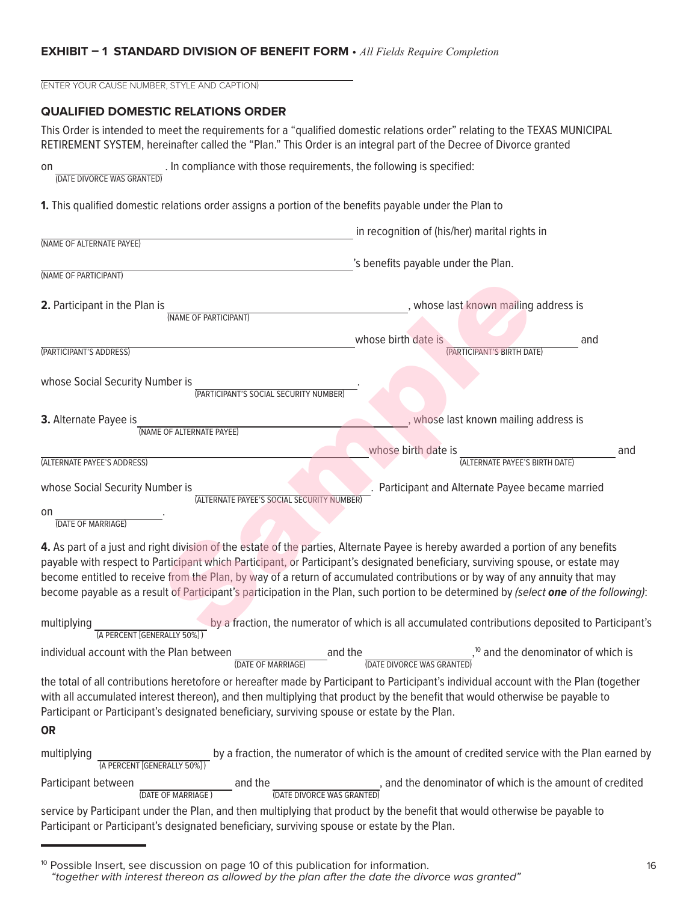#### **EXHIBIT – 1 STANDARD DIVISION OF BENEFIT FORM** • *All Fields Require Completion*

| (ENTER YOUR CAUSE NUMBER, STYLE AND CAPTION) |                                                                                              |                                                                                                                                                                                                                                                                                                                                                                                                                                                                                                                                               |     |
|----------------------------------------------|----------------------------------------------------------------------------------------------|-----------------------------------------------------------------------------------------------------------------------------------------------------------------------------------------------------------------------------------------------------------------------------------------------------------------------------------------------------------------------------------------------------------------------------------------------------------------------------------------------------------------------------------------------|-----|
| <b>QUALIFIED DOMESTIC RELATIONS ORDER</b>    |                                                                                              |                                                                                                                                                                                                                                                                                                                                                                                                                                                                                                                                               |     |
|                                              |                                                                                              | This Order is intended to meet the requirements for a "qualified domestic relations order" relating to the TEXAS MUNICIPAL<br>RETIREMENT SYSTEM, hereinafter called the "Plan." This Order is an integral part of the Decree of Divorce granted                                                                                                                                                                                                                                                                                               |     |
| on<br>(DATE DIVORCE WAS GRANTED)             |                                                                                              | . In compliance with those requirements, the following is specified:                                                                                                                                                                                                                                                                                                                                                                                                                                                                          |     |
|                                              |                                                                                              | 1. This qualified domestic relations order assigns a portion of the benefits payable under the Plan to                                                                                                                                                                                                                                                                                                                                                                                                                                        |     |
|                                              |                                                                                              | in recognition of (his/her) marital rights in                                                                                                                                                                                                                                                                                                                                                                                                                                                                                                 |     |
| (NAME OF ALTERNATE PAYEE)                    |                                                                                              | 's benefits payable under the Plan.                                                                                                                                                                                                                                                                                                                                                                                                                                                                                                           |     |
| (NAME OF PARTICIPANT)                        |                                                                                              |                                                                                                                                                                                                                                                                                                                                                                                                                                                                                                                                               |     |
| 2. Participant in the Plan is                | (NAME OF PARTICIPANT)                                                                        | , whose last known mailing address is                                                                                                                                                                                                                                                                                                                                                                                                                                                                                                         |     |
|                                              |                                                                                              | whose birth date is                                                                                                                                                                                                                                                                                                                                                                                                                                                                                                                           | and |
| (PARTICIPANT'S ADDRESS)                      |                                                                                              | (PARTICIPANT'S BIRTH DATE)                                                                                                                                                                                                                                                                                                                                                                                                                                                                                                                    |     |
| whose Social Security Number is              | (PARTICIPANT'S SOCIAL SECURITY NUMBER)                                                       |                                                                                                                                                                                                                                                                                                                                                                                                                                                                                                                                               |     |
| 3. Alternate Payee is                        |                                                                                              | , whose last known mailing address is                                                                                                                                                                                                                                                                                                                                                                                                                                                                                                         |     |
|                                              | (NAME OF ALTERNATE PAYEE)                                                                    |                                                                                                                                                                                                                                                                                                                                                                                                                                                                                                                                               |     |
| (ALTERNATE PAYEE'S ADDRESS)                  |                                                                                              | whose birth date is<br>(ALTERNATE PAYEE'S BIRTH DATE)                                                                                                                                                                                                                                                                                                                                                                                                                                                                                         | and |
| whose Social Security Number is              | (ALTERNATE PAYEE'S SOCIAL SECURITY NUMBER)                                                   | Participant and Alternate Payee became married                                                                                                                                                                                                                                                                                                                                                                                                                                                                                                |     |
| on<br>(DATE OF MARRIAGE)                     |                                                                                              |                                                                                                                                                                                                                                                                                                                                                                                                                                                                                                                                               |     |
|                                              |                                                                                              | 4. As part of a just and right division of the estate of the parties, Alternate Payee is hereby awarded a portion of any benefits<br>payable with respect to Participant which Participant, or Participant's designated beneficiary, surviving spouse, or estate may<br>become entitled to receive from the Plan, by way of a return of accumulated contributions or by way of any annuity that may<br>become payable as a result of Participant's participation in the Plan, such portion to be determined by (select one of the following): |     |
| multiplying<br>(A PERCENT [GENERALLY 50%])   |                                                                                              | by a fraction, the numerator of which is all accumulated contributions deposited to Participant's                                                                                                                                                                                                                                                                                                                                                                                                                                             |     |
| individual account with the Plan between     | (DATE OF MARRIAGE)                                                                           | <sup>10</sup> and the denominator of which is<br><del>(DATE DIVORCE WAS GRANTED)</del><br>and the                                                                                                                                                                                                                                                                                                                                                                                                                                             |     |
| <b>OR</b>                                    | Participant or Participant's designated beneficiary, surviving spouse or estate by the Plan. | the total of all contributions heretofore or hereafter made by Participant to Participant's individual account with the Plan (together<br>with all accumulated interest thereon), and then multiplying that product by the benefit that would otherwise be payable to                                                                                                                                                                                                                                                                         |     |
| multiplying<br>(A PERCENT [GENERALLY 50%])   |                                                                                              | by a fraction, the numerator of which is the amount of credited service with the Plan earned by                                                                                                                                                                                                                                                                                                                                                                                                                                               |     |
| Participant between                          | and the                                                                                      | , and the denominator of which is the amount of credited                                                                                                                                                                                                                                                                                                                                                                                                                                                                                      |     |

(DATE OF MARRIAGE ) (DATE DIVORCE WAS GRANTED) service by Participant under the Plan, and then multiplying that product by the benefit that would otherwise be payable to Participant or Participant's designated beneficiary, surviving spouse or estate by the Plan.

<sup>&</sup>lt;sup>10</sup> Possible Insert, see discussion on page 10 of this publication for information. "together with interest thereon as allowed by the plan after the date the divorce was granted"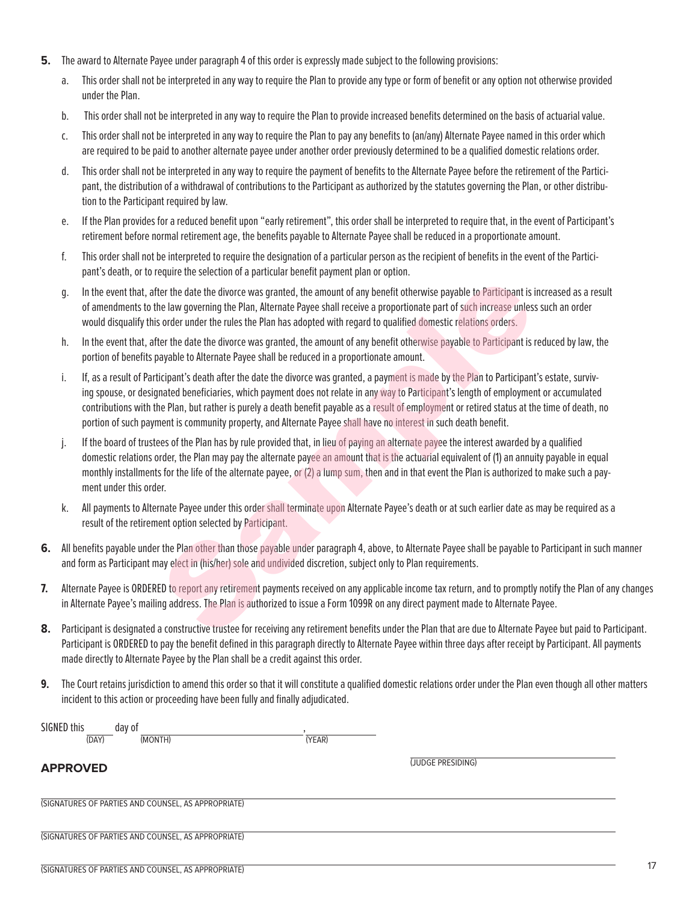- **5.** The award to Alternate Payee under paragraph 4 of this order is expressly made subject to the following provisions:
	- a. This order shall not be interpreted in any way to require the Plan to provide any type or form of benefit or any option not otherwise provided under the Plan.
	- b. This order shall not be interpreted in any way to require the Plan to provide increased benefits determined on the basis of actuarial value.
	- c. This order shall not be interpreted in any way to require the Plan to pay any benefits to (an/any) Alternate Payee named in this order which are required to be paid to another alternate payee under another order previously determined to be a qualified domestic relations order.
	- d. This order shall not be interpreted in any way to require the payment of benefits to the Alternate Payee before the retirement of the Participant, the distribution of a withdrawal of contributions to the Participant as authorized by the statutes governing the Plan, or other distribution to the Participant required by law.
	- e. If the Plan provides for a reduced benefit upon "early retirement", this order shall be interpreted to require that, in the event of Participant's retirement before normal retirement age, the benefits payable to Alternate Payee shall be reduced in a proportionate amount.
	- f. This order shall not be interpreted to require the designation of a particular person as the recipient of benefits in the event of the Participant's death, or to require the selection of a particular benefit payment plan or option.
	- g. In the event that, after the date the divorce was granted, the amount of any benefit otherwise payable to Participant is increased as a result of amendments to the law governing the Plan, Alternate Payee shall receive a proportionate part of such increase unless such an order would disqualify this order under the rules the Plan has adopted with regard to qualified domestic relations orders.
	- h. In the event that, after the date the divorce was granted, the amount of any benefit otherwise payable to Participant is reduced by law, the portion of benefits payable to Alternate Payee shall be reduced in a proportionate amount.
	- i. If, as a result of Participant's death after the date the divorce was granted, a payment is made by the Plan to Participant's estate, surviving spouse, or designated beneficiaries, which payment does not relate in any way to Participant's length of employment or accumulated contributions with the Plan, but rather is purely a death benefit payable as a result of employment or retired status at the time of death, no portion of such payment is community property, and Alternate Payee shall have no interest in such death benefit. et the date the divorce was granted, the amount of any benefit otherwise payable to Participant is in<br>ter the date the divorce was granted, the amount of any benefit otherwise payable to Participant is in<br>the the date the
	- j. If the board of trustees of the Plan has by rule provided that, in lieu of paying an alternate payee the interest awarded by a qualified domestic relations order, the Plan may pay the alternate payee an amount that is the actuarial equivalent of (1) an annuity payable in equal monthly installments for the life of the alternate payee, or (2) a lump sum, then and in that event the Plan is authorized to make such a payment under this order.
	- k. All payments to Alternate Payee under this order shall terminate upon Alternate Payee's death or at such earlier date as may be required as a result of the retirement option selected by Participant.
- **6.** All benefits payable under the Plan other than those payable under paragraph 4, above, to Alternate Payee shall be payable to Participant in such manner and form as Participant may elect in (his/her) sole and undivided discretion, subject only to Plan requirements.
- **7.** Alternate Payee is ORDERED to report any retirement payments received on any applicable income tax return, and to promptly notify the Plan of any changes in Alternate Payee's mailing address. The Plan is authorized to issue a Form 1099R on any direct payment made to Alternate Payee.
- **8.** Participant is designated a constructive trustee for receiving any retirement benefits under the Plan that are due to Alternate Payee but paid to Participant. Participant is ORDERED to pay the benefit defined in this paragraph directly to Alternate Payee within three days after receipt by Participant. All payments made directly to Alternate Payee by the Plan shall be a credit against this order.
- **9.** The Court retains jurisdiction to amend this order so that it will constitute a qualified domestic relations order under the Plan even though all other matters incident to this action or proceeding have been fully and finally adjudicated.

| SIGNED this     | day of                                              |        |                   |  |
|-----------------|-----------------------------------------------------|--------|-------------------|--|
| (DAY)           | (MONTH)                                             | (YEAR) |                   |  |
| <b>APPROVED</b> |                                                     |        | (JUDGE PRESIDING) |  |
|                 | (SIGNATURES OF PARTIES AND COUNSEL, AS APPROPRIATE) |        |                   |  |
|                 | (SIGNATURES OF PARTIES AND COUNSEL, AS APPROPRIATE) |        |                   |  |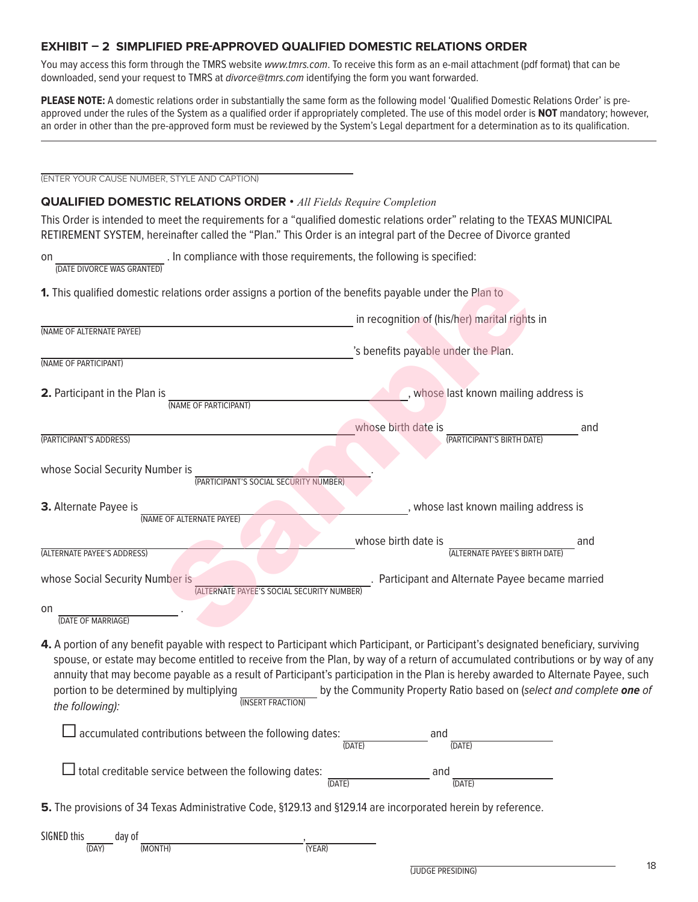#### **EXHIBIT – 2 SIMPLIFIED PRE-APPROVED QUALIFIED DOMESTIC RELATIONS ORDER**

You may access this form through the TMRS website www.tmrs.com. To receive this form as an e-mail attachment (pdf format) that can be downloaded, send your request to TMRS at *divorce@tmrs.com* identifying the form you want forwarded.

**PLEASE NOTE:** A domestic relations order in substantially the same form as the following model 'Qualified Domestic Relations Order' is preapproved under the rules of the System as a qualified order if appropriately completed. The use of this model order is **NOT** mandatory; however, an order in other than the pre-approved form must be reviewed by the System's Legal department for a determination as to its qualification.

(ENTER YOUR CAUSE NUMBER, STYLE AND CAPTION)

#### **QUALIFIED DOMESTIC RELATIONS ORDER •** *All Fields Require Completion*

This Order is intended to meet the requirements for a "qualified domestic relations order" relating to the TEXAS MUNICIPAL RETIREMENT SYSTEM, hereinafter called the "Plan." This Order is an integral part of the Decree of Divorce granted

on (DATE DIVORCE WAS GRANTED) . In compliance with those requirements, the following is specified:

|                                                                               | in recognition of (his/her) marital rights in         |     |
|-------------------------------------------------------------------------------|-------------------------------------------------------|-----|
| (NAME OF ALTERNATE PAYEE)                                                     |                                                       |     |
|                                                                               | 's benefits payable under the Plan.                   |     |
| (NAME OF PARTICIPANT)                                                         |                                                       |     |
| 2. Participant in the Plan is<br>(NAME OF PARTICIPANT)                        | , whose last known mailing address is                 |     |
|                                                                               | whose birth date is                                   | and |
| (PARTICIPANT'S ADDRESS)                                                       | (PARTICIPANT'S BIRTH DATE)                            |     |
| whose Social Security Number is<br>(PARTICIPANT'S SOCIAL SECURITY NUMBER)     |                                                       |     |
| 3. Alternate Payee is<br>(NAME OF ALTERNATE PAYEE)                            | , whose last known mailing address is                 |     |
| (ALTERNATE PAYEE'S ADDRESS)                                                   | whose birth date is<br>(ALTERNATE PAYEE'S BIRTH DATE) | and |
| whose Social Security Number is<br>(ALTERNATE PAYEE'S SOCIAL SECURITY NUMBER) | Participant and Alternate Payee became married        |     |
| on<br>(DATE OF MARRIAGE)                                                      |                                                       |     |

spouse, or estate may become entitled to receive from the Plan, by way of a return of accumulated contributions or by way of any annuity that may become payable as a result of Participant's participation in the Plan is hereby awarded to Alternate Payee, such portion to be determined by multiplying (INSERT FRACTION) by the Community Property Ratio based on (select and complete **one** of the following):

| $\Box$ accumulated contributions between the following dates: | (DATE)         | and<br>(DATE) |  |
|---------------------------------------------------------------|----------------|---------------|--|
| $\Box$ total creditable service between the following dates:  | $(D\Delta TF)$ | and<br>(DATF) |  |

**5.** The provisions of 34 Texas Administrative Code, §129.13 and §129.14 are incorporated herein by reference.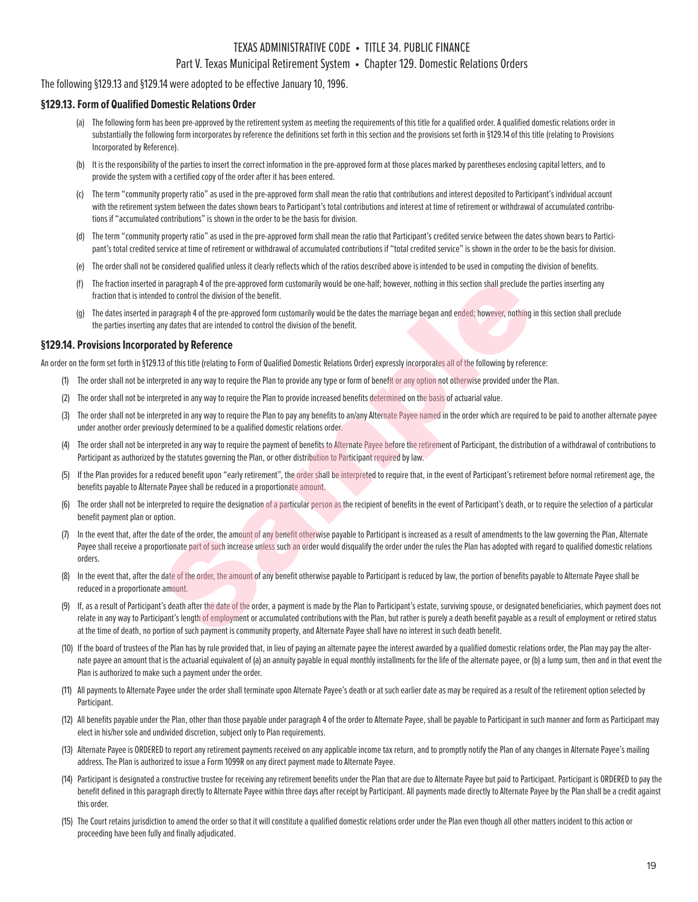#### TEXAS ADMINISTRATIVE CODE • TITLE 34. PUBLIC FINANCE

#### Part V. Texas Municipal Retirement System • Chapter 129. Domestic Relations Orders

#### The following §129.13 and §129.14 were adopted to be effective January 10, 1996.

#### **§129.13. Form of Qualified Domestic Relations Order**

- (a) The following form has been pre-approved by the retirement system as meeting the requirements of this title for a qualified order. A qualified domestic relations order in substantially the following form incorporates by reference the definitions set forth in this section and the provisions set forth in §129.14 of this title (relating to Provisions Incorporated by Reference).
- (b) It is the responsibility of the parties to insert the correct information in the pre-approved form at those places marked by parentheses enclosing capital letters, and to provide the system with a certified copy of the order after it has been entered.
- (c) The term "community property ratio" as used in the pre-approved form shall mean the ratio that contributions and interest deposited to Participant's individual account with the retirement system between the dates shown bears to Participant's total contributions and interest at time of retirement or withdrawal of accumulated contributions if "accumulated contributions" is shown in the order to be the basis for division.
- (d) The term "community property ratio" as used in the pre-approved form shall mean the ratio that Participant's credited service between the dates shown bears to Participant's total credited service at time of retirement or withdrawal of accumulated contributions if "total credited service" is shown in the order to be the basis for division.
- (e) The order shall not be considered qualified unless it clearly reflects which of the ratios described above is intended to be used in computing the division of benefits.
- (f) The fraction inserted in paragraph 4 of the pre-approved form customarily would be one-half; however, nothing in this section shall preclude the parties inserting any fraction that is intended to control the division of the benefit.
- (g) The dates inserted in paragraph 4 of the pre-approved form customarily would be the dates the marriage began and ended; however, nothing in this section shall preclude the parties inserting any dates that are intended to control the division of the benefit.

#### **§129.14. Provisions Incorporated by Reference**

An order on the form set forth in §129.13 of this title (relating to Form of Qualified Domestic Relations Order) expressly incorporates all of the following by reference:

- (1) The order shall not be interpreted in any way to require the Plan to provide any type or form of benefit or any option not otherwise provided under the Plan.
- (2) The order shall not be interpreted in any way to require the Plan to provide increased benefits determined on the basis of actuarial value.
- (3) The order shall not be interpreted in any way to require the Plan to pay any benefits to an/any Alternate Payee named in the order which are required to be paid to another alternate payee under another order previously determined to be a qualified domestic relations order.
- (4) The order shall not be interpreted in any way to require the payment of benefits to Alternate Payee before the retirement of Participant, the distribution of a withdrawal of contributions to Participant as authorized by the statutes governing the Plan, or other distribution to Participant required by law.
- (5) If the Plan provides for a reduced benefit upon "early retirement", the order shall be interpreted to require that, in the event of Participant's retirement before normal retirement age, the benefits payable to Alternate Payee shall be reduced in a proportionate amount.
- (6) The order shall not be interpreted to require the designation of a particular person as the recipient of benefits in the event of Participant's death, or to require the selection of a particular benefit payment plan or option.
- In the event that, after the date of the order, the amount of any benefit otherwise payable to Participant is increased as a result of amendments to the law governing the Plan, Alternate Payee shall receive a proportionate part of such increase unless such an order would disqualify the order under the rules the Plan has adopted with regard to qualified domestic relations orders. in paragraph 4 of the pre-approved form customarily would be one-half; however, nothing in this section shall preclude the<br>edico control the division of the benefit.<br>
paragraph 4 of the pre-approved form customarily would
- (8) In the event that, after the date of the order, the amount of any benefit otherwise payable to Participant is reduced by law, the portion of benefits payable to Alternate Payee shall be reduced in a proportionate amount.
- (9) If, as a result of Participant's death after the date of the order, a payment is made by the Plan to Participant's estate, surviving spouse, or designated beneficiaries, which payment does not relate in any way to Participant's length of employment or accumulated contributions with the Plan, but rather is purely a death benefit payable as a result of employment or retired status at the time of death, no portion of such payment is community property, and Alternate Payee shall have no interest in such death benefit.
- (10) If the board of trustees of the Plan has by rule provided that, in lieu of paying an alternate payee the interest awarded by a qualified domestic relations order, the Plan may pay the alternate payee an amount that is the actuarial equivalent of (a) an annuity payable in equal monthly installments for the life of the alternate payee, or (b) a lump sum, then and in that event the Plan is authorized to make such a payment under the order.
- (11) All payments to Alternate Payee under the order shall terminate upon Alternate Payee's death or at such earlier date as may be required as a result of the retirement option selected by Participant.
- (12) All benefits payable under the Plan, other than those payable under paragraph 4 of the order to Alternate Payee, shall be payable to Participant in such manner and form as Participant may elect in his/her sole and undivided discretion, subject only to Plan requirements.
- (13) Alternate Payee is ORDERED to report any retirement payments received on any applicable income tax return, and to promptly notify the Plan of any changes in Alternate Payee's mailing address. The Plan is authorized to issue a Form 1099R on any direct payment made to Alternate Payee.
- (14) Participant is designated a constructive trustee for receiving any retirement benefits under the Plan that are due to Alternate Payee but paid to Participant. Participant is ORDERED to pay the benefit defined in this paragraph directly to Alternate Payee within three days after receipt by Participant. All payments made directly to Alternate Payee by the Plan shall be a credit against this order.
- (15) The Court retains jurisdiction to amend the order so that it will constitute a qualified domestic relations order under the Plan even though all other matters incident to this action or proceeding have been fully and finally adjudicated.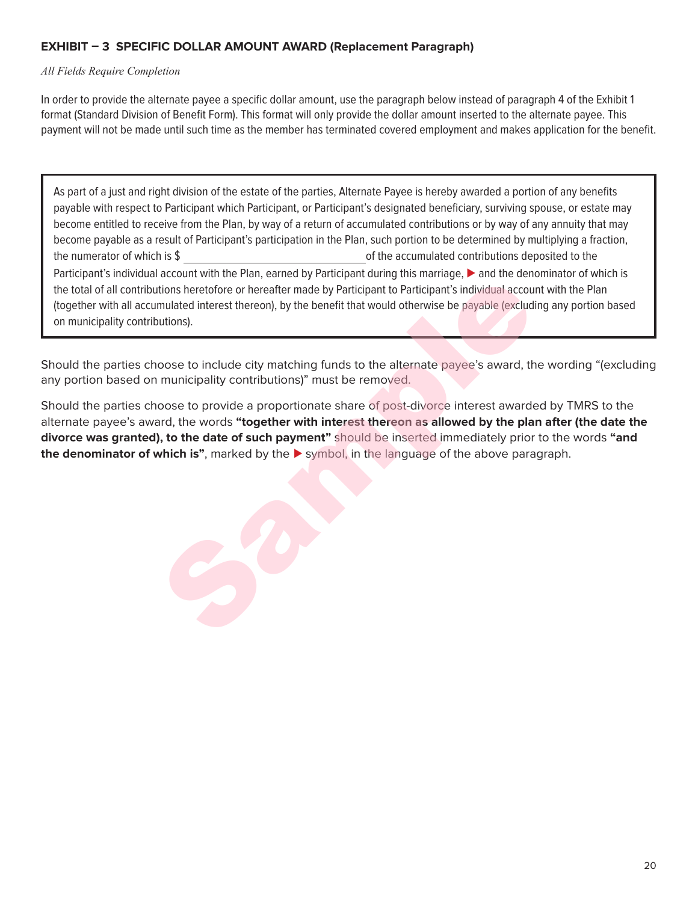#### **EXHIBIT – 3 SPECIFIC DOLLAR AMOUNT AWARD (Replacement Paragraph)**

#### *All Fields Require Completion*

In order to provide the alternate payee a specific dollar amount, use the paragraph below instead of paragraph 4 of the Exhibit 1 format (Standard Division of Benefit Form). This format will only provide the dollar amount inserted to the alternate payee. This payment will not be made until such time as the member has terminated covered employment and makes application for the benefit.

As part of a just and right division of the estate of the parties, Alternate Payee is hereby awarded a portion of any benefits payable with respect to Participant which Participant, or Participant's designated beneficiary, surviving spouse, or estate may become entitled to receive from the Plan, by way of a return of accumulated contributions or by way of any annuity that may become payable as a result of Participant's participation in the Plan, such portion to be determined by multiplying a fraction, the numerator of which is \$ Participant's individual account with the Plan, earned by Participant during this marriage, ▶ and the denominator of which is of the accumulated contributions deposited to the the total of all contributions heretofore or hereafter made by Participant to Participant's individual account with the Plan (together with all accumulated interest thereon), by the benefit that would otherwise be payable (excluding any portion based on municipality contributions).

Should the parties choose to include city matching funds to the alternate payee's award, the wording "(excluding any portion based on municipality contributions)" must be removed.

Should the parties choose to provide a proportionate share of post-divorce interest awarded by TMRS to the alternate payee's award, the words **"together with interest thereon as allowed by the plan after (the date the divorce was granted), to the date of such payment"** should be inserted immediately prior to the words **"and the denominator of which is"**, marked by the ► symbol, in the language of the above paragraph. account win the Fig. Camero by intertions herefore or hereafter made by Participant to Participant's individual account<br>titions herefore or hereafter made by Participant to Participant's individual account<br>mulated interest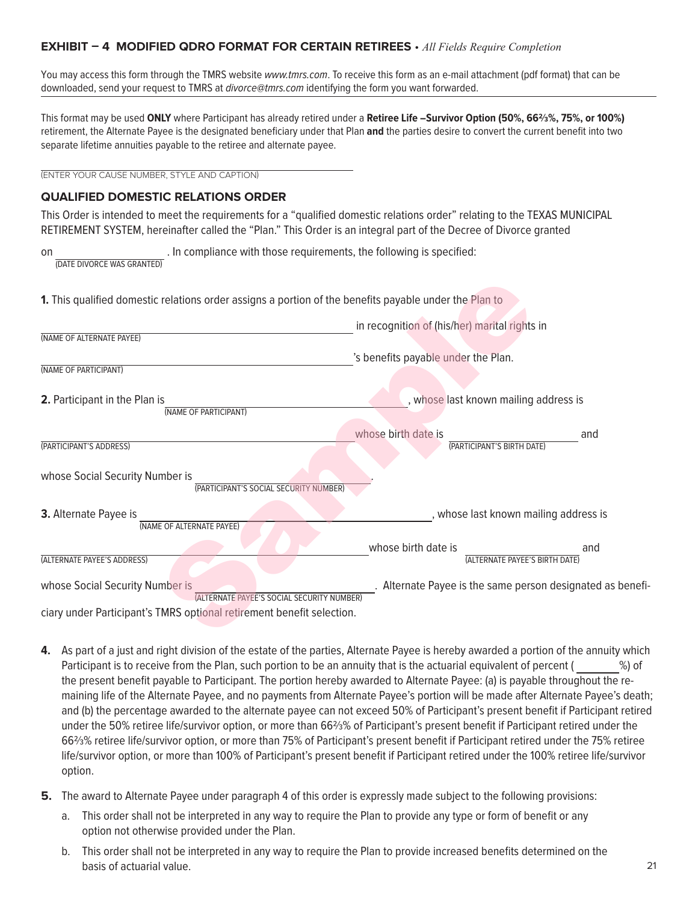#### **EXHIBIT – 4 MODIFIED QDRO FORMAT FOR CERTAIN RETIREES** • *All Fields Require Completion*

You may access this form through the TMRS website www.tmrs.com. To receive this form as an e-mail attachment (pdf format) that can be downloaded, send your request to TMRS at divorce@tmrs.com identifying the form you want forwarded.

This format may be used **ONLY** where Participant has already retired under a **Retiree Life –Survivor Option (50%, 66⅔%, 75%, or 100%)**  retirement, the Alternate Payee is the designated beneficiary under that Plan **and** the parties desire to convert the current benefit into two separate lifetime annuities payable to the retiree and alternate payee.

(ENTER YOUR CAUSE NUMBER, STYLE AND CAPTION)

#### **QUALIFIED DOMESTIC RELATIONS ORDER**

This Order is intended to meet the requirements for a "qualified domestic relations order" relating to the TEXAS MUNICIPAL RETIREMENT SYSTEM, hereinafter called the "Plan." This Order is an integral part of the Decree of Divorce granted

on (DATE DIVORCE WAS GRANTED) . In compliance with those requirements, the following is specified:

| (NAME OF ALTERNATE PAYEE)<br>'s benefits payable under the Plan.<br>(NAME OF PARTICIPANT)<br>, whose last known mailing address is<br>2. Participant in the Plan is<br>(NAME OF PARTICIPANT)<br>whose birth date is<br>and<br>(PARTICIPANT'S BIRTH DATE)<br>whose Social Security Number is<br>(PARTICIPANT'S SOCIAL SECURITY NUMBER)<br>3. Alternate Payee is<br>, whose last known mailing address is<br>(NAME OF ALTERNATE PAYEE)<br>whose birth date is<br>and<br>(ALTERNATE PAYEE'S BIRTH DATE)<br>Alternate Payee is the same person designated as benefi-<br>(ALTERNATE PAYEE'S SOCIAL SECURITY NUMBER) |                                 | in recognition of (his/her) marital rights in |
|----------------------------------------------------------------------------------------------------------------------------------------------------------------------------------------------------------------------------------------------------------------------------------------------------------------------------------------------------------------------------------------------------------------------------------------------------------------------------------------------------------------------------------------------------------------------------------------------------------------|---------------------------------|-----------------------------------------------|
|                                                                                                                                                                                                                                                                                                                                                                                                                                                                                                                                                                                                                |                                 |                                               |
|                                                                                                                                                                                                                                                                                                                                                                                                                                                                                                                                                                                                                |                                 |                                               |
|                                                                                                                                                                                                                                                                                                                                                                                                                                                                                                                                                                                                                |                                 |                                               |
|                                                                                                                                                                                                                                                                                                                                                                                                                                                                                                                                                                                                                |                                 |                                               |
|                                                                                                                                                                                                                                                                                                                                                                                                                                                                                                                                                                                                                | (PARTICIPANT'S ADDRESS)         |                                               |
|                                                                                                                                                                                                                                                                                                                                                                                                                                                                                                                                                                                                                |                                 |                                               |
|                                                                                                                                                                                                                                                                                                                                                                                                                                                                                                                                                                                                                |                                 |                                               |
|                                                                                                                                                                                                                                                                                                                                                                                                                                                                                                                                                                                                                |                                 |                                               |
|                                                                                                                                                                                                                                                                                                                                                                                                                                                                                                                                                                                                                | (ALTERNATE PAYEE'S ADDRESS)     |                                               |
|                                                                                                                                                                                                                                                                                                                                                                                                                                                                                                                                                                                                                | whose Social Security Number is |                                               |

- **4.** As part of a just and right division of the estate of the parties, Alternate Payee is hereby awarded a portion of the annuity which Participant is to receive from the Plan, such portion to be an annuity that is the actuarial equivalent of percent ( %) of the present benefit payable to Participant. The portion hereby awarded to Alternate Payee: (a) is payable throughout the remaining life of the Alternate Payee, and no payments from Alternate Payee's portion will be made after Alternate Payee's death; and (b) the percentage awarded to the alternate payee can not exceed 50% of Participant's present benefit if Participant retired under the 50% retiree life/survivor option, or more than 66⅔% of Participant's present benefit if Participant retired under the 66⅔% retiree life/survivor option, or more than 75% of Participant's present benefit if Participant retired under the 75% retiree life/survivor option, or more than 100% of Participant's present benefit if Participant retired under the 100% retiree life/survivor option.
- **5.** The award to Alternate Payee under paragraph 4 of this order is expressly made subject to the following provisions:
	- a. This order shall not be interpreted in any way to require the Plan to provide any type or form of benefit or any option not otherwise provided under the Plan.
	- b. This order shall not be interpreted in any way to require the Plan to provide increased benefits determined on the basis of actuarial value.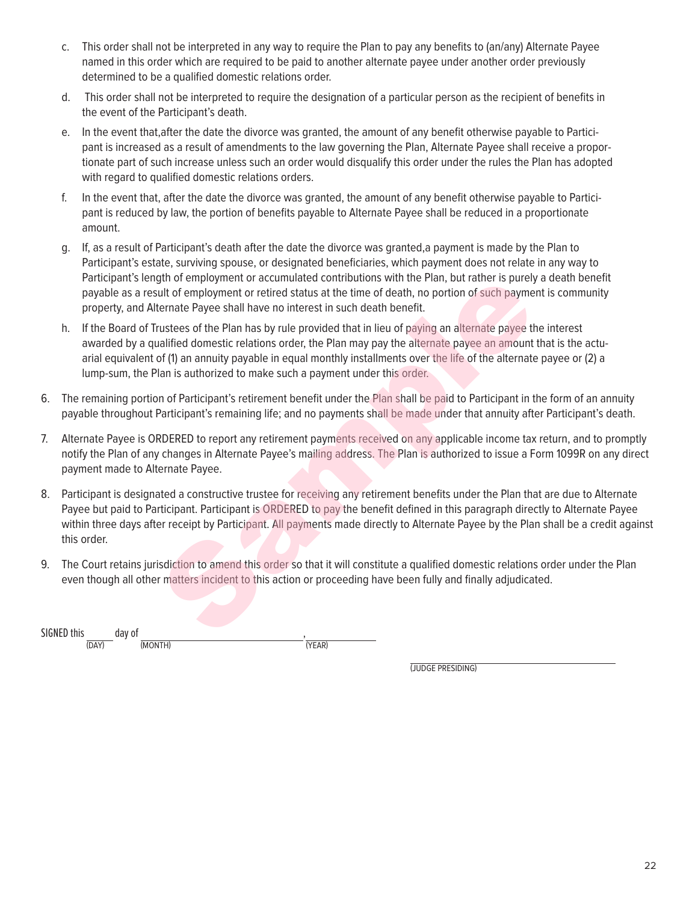- c. This order shall not be interpreted in any way to require the Plan to pay any benefits to (an/any) Alternate Payee named in this order which are required to be paid to another alternate payee under another order previously determined to be a qualified domestic relations order.
- d. This order shall not be interpreted to require the designation of a particular person as the recipient of benefits in the event of the Participant's death.
- e. In the event that,after the date the divorce was granted, the amount of any benefit otherwise payable to Participant is increased as a result of amendments to the law governing the Plan, Alternate Payee shall receive a proportionate part of such increase unless such an order would disqualify this order under the rules the Plan has adopted with regard to qualified domestic relations orders.
- f. In the event that, after the date the divorce was granted, the amount of any benefit otherwise payable to Participant is reduced by law, the portion of benefits payable to Alternate Payee shall be reduced in a proportionate amount.
- g. If, as a result of Participant's death after the date the divorce was granted,a payment is made by the Plan to Participant's estate, surviving spouse, or designated beneficiaries, which payment does not relate in any way to Participant's length of employment or accumulated contributions with the Plan, but rather is purely a death benefit payable as a result of employment or retired status at the time of death, no portion of such payment is community property, and Alternate Payee shall have no interest in such death benefit.
- h. If the Board of Trustees of the Plan has by rule provided that in lieu of paying an alternate payee the interest awarded by a qualified domestic relations order, the Plan may pay the alternate payee an amount that is the actuarial equivalent of (1) an annuity payable in equal monthly installments over the life of the alternate payee or (2) a lump-sum, the Plan is authorized to make such a payment under this order. gth of employment or accumulated contributions with the Plan, but rather is purely a decutive demployment or retired status at the time of death, no portion of such payment is cleanted Payee shall have no interest in such
- 6. The remaining portion of Participant's retirement benefit under the Plan shall be paid to Participant in the form of an annuity payable throughout Participant's remaining life; and no payments shall be made under that annuity after Participant's death.
- 7. Alternate Payee is ORDERED to report any retirement payments received on any applicable income tax return, and to promptly notify the Plan of any changes in Alternate Payee's mailing address. The Plan is authorized to issue a Form 1099R on any direct payment made to Alternate Payee.
- 8. Participant is designated a constructive trustee for receiving any retirement benefits under the Plan that are due to Alternate Payee but paid to Participant. Participant is ORDERED to pay the benefit defined in this paragraph directly to Alternate Payee within three days after receipt by Participant. All payments made directly to Alternate Payee by the Plan shall be a credit against this order.
- 9. The Court retains jurisdiction to amend this order so that it will constitute a qualified domestic relations order under the Plan even though all other matters incident to this action or proceeding have been fully and finally adjudicated.

SIGNED this (DAY) day of (MONTH) , (YEAR)

(JUDGE PRESIDING)